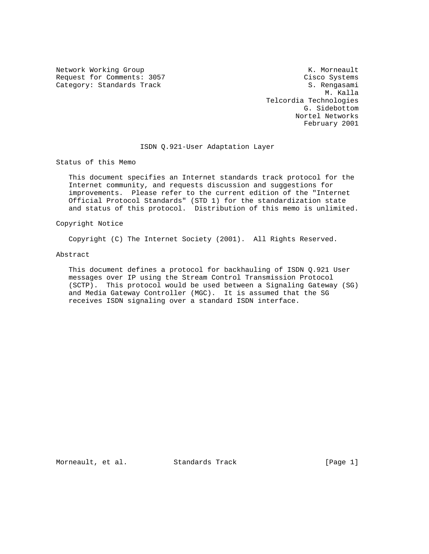Network Working Group Network Working Group Network K. Morneault Request for Comments: 3057 Cisco Systems Category: Standards Track S. Rengasami

 M. Kalla Telcordia Technologies G. Sidebottom Nortel Networks February 2001

## ISDN Q.921-User Adaptation Layer

Status of this Memo

 This document specifies an Internet standards track protocol for the Internet community, and requests discussion and suggestions for improvements. Please refer to the current edition of the "Internet Official Protocol Standards" (STD 1) for the standardization state and status of this protocol. Distribution of this memo is unlimited.

Copyright Notice

Copyright (C) The Internet Society (2001). All Rights Reserved.

#### Abstract

 This document defines a protocol for backhauling of ISDN Q.921 User messages over IP using the Stream Control Transmission Protocol (SCTP). This protocol would be used between a Signaling Gateway (SG) and Media Gateway Controller (MGC). It is assumed that the SG receives ISDN signaling over a standard ISDN interface.

Morneault, et al. Standards Track [Page 1]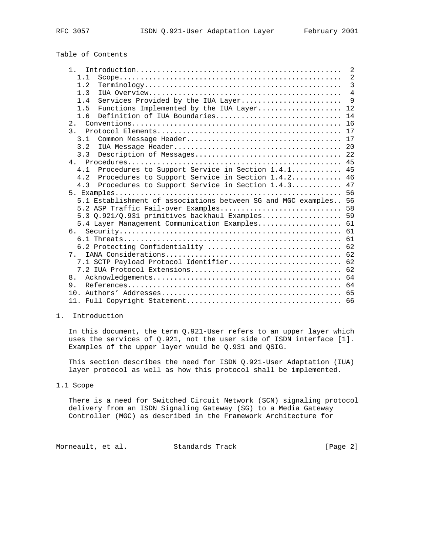# Table of Contents

|                                                                  | 2              |
|------------------------------------------------------------------|----------------|
| 1.1                                                              | 2              |
| 1.2                                                              | $\overline{3}$ |
| 1.3                                                              | $\overline{4}$ |
| Services Provided by the IUA Layer<br>1.4                        | $\mathsf{Q}$   |
| Functions Implemented by the IUA Layer 12<br>1.5                 |                |
| Definition of IUA Boundaries<br>1.6                              | 14             |
|                                                                  |                |
|                                                                  |                |
| 3.1                                                              |                |
| 3.2                                                              |                |
| 3.3                                                              |                |
|                                                                  |                |
| Procedures to Support Service in Section 1.4.1 45<br>4.1         |                |
| Procedures to Support Service in Section 1.4.2 46<br>4.2         |                |
| Procedures to Support Service in Section 1.4.3 47<br>4.3         |                |
|                                                                  |                |
| 5.1 Establishment of associations between SG and MGC examples 56 |                |
| 5.2 ASP Traffic Fail-over Examples 58                            |                |
| 5.3 Q.921/Q.931 primitives backhaul Examples 59                  |                |
| 5.4 Layer Management Communication Examples 61                   |                |
| б.                                                               |                |
|                                                                  |                |
| 6.2 Protecting Confidentiality  62                               |                |
| 7                                                                |                |
| 7.1 SCTP Payload Protocol Identifier 62                          |                |
|                                                                  |                |
| 8.                                                               |                |
| 9.                                                               |                |
|                                                                  |                |
|                                                                  |                |
|                                                                  |                |

## 1. Introduction

 In this document, the term Q.921-User refers to an upper layer which uses the services of Q.921, not the user side of ISDN interface [1]. Examples of the upper layer would be Q.931 and QSIG.

 This section describes the need for ISDN Q.921-User Adaptation (IUA) layer protocol as well as how this protocol shall be implemented.

## 1.1 Scope

 There is a need for Switched Circuit Network (SCN) signaling protocol delivery from an ISDN Signaling Gateway (SG) to a Media Gateway Controller (MGC) as described in the Framework Architecture for

Morneault, et al. Standards Track [Page 2]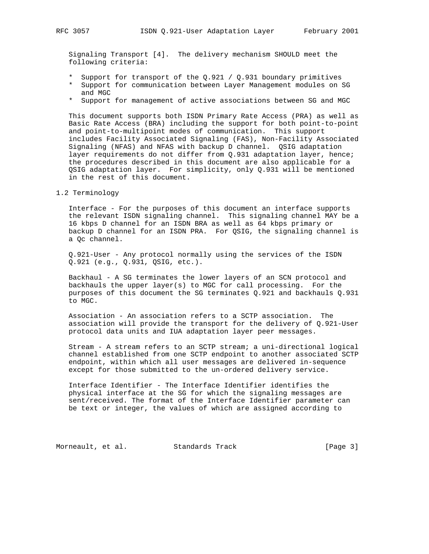Signaling Transport [4]. The delivery mechanism SHOULD meet the following criteria:

- \* Support for transport of the Q.921 / Q.931 boundary primitives
- \* Support for communication between Layer Management modules on SG and MGC
- \* Support for management of active associations between SG and MGC

 This document supports both ISDN Primary Rate Access (PRA) as well as Basic Rate Access (BRA) including the support for both point-to-point and point-to-multipoint modes of communication. This support includes Facility Associated Signaling (FAS), Non-Facility Associated Signaling (NFAS) and NFAS with backup D channel. QSIG adaptation layer requirements do not differ from Q.931 adaptation layer, hence; the procedures described in this document are also applicable for a QSIG adaptation layer. For simplicity, only Q.931 will be mentioned in the rest of this document.

## 1.2 Terminology

 Interface - For the purposes of this document an interface supports the relevant ISDN signaling channel. This signaling channel MAY be a 16 kbps D channel for an ISDN BRA as well as 64 kbps primary or backup D channel for an ISDN PRA. For QSIG, the signaling channel is a Qc channel.

 Q.921-User - Any protocol normally using the services of the ISDN Q.921 (e.g., Q.931, QSIG, etc.).

 Backhaul - A SG terminates the lower layers of an SCN protocol and backhauls the upper layer(s) to MGC for call processing. For the purposes of this document the SG terminates Q.921 and backhauls Q.931 to MGC.

 Association - An association refers to a SCTP association. The association will provide the transport for the delivery of Q.921-User protocol data units and IUA adaptation layer peer messages.

 Stream - A stream refers to an SCTP stream; a uni-directional logical channel established from one SCTP endpoint to another associated SCTP endpoint, within which all user messages are delivered in-sequence except for those submitted to the un-ordered delivery service.

 Interface Identifier - The Interface Identifier identifies the physical interface at the SG for which the signaling messages are sent/received. The format of the Interface Identifier parameter can be text or integer, the values of which are assigned according to

Morneault, et al. Standards Track [Page 3]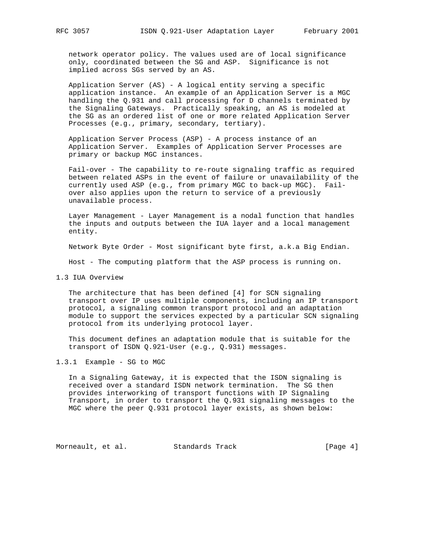network operator policy. The values used are of local significance only, coordinated between the SG and ASP. Significance is not implied across SGs served by an AS.

 Application Server (AS) - A logical entity serving a specific application instance. An example of an Application Server is a MGC handling the Q.931 and call processing for D channels terminated by the Signaling Gateways. Practically speaking, an AS is modeled at the SG as an ordered list of one or more related Application Server Processes (e.g., primary, secondary, tertiary).

 Application Server Process (ASP) - A process instance of an Application Server. Examples of Application Server Processes are primary or backup MGC instances.

 Fail-over - The capability to re-route signaling traffic as required between related ASPs in the event of failure or unavailability of the currently used ASP (e.g., from primary MGC to back-up MGC). Fail over also applies upon the return to service of a previously unavailable process.

 Layer Management - Layer Management is a nodal function that handles the inputs and outputs between the IUA layer and a local management entity.

Network Byte Order - Most significant byte first, a.k.a Big Endian.

Host - The computing platform that the ASP process is running on.

1.3 IUA Overview

 The architecture that has been defined [4] for SCN signaling transport over IP uses multiple components, including an IP transport protocol, a signaling common transport protocol and an adaptation module to support the services expected by a particular SCN signaling protocol from its underlying protocol layer.

 This document defines an adaptation module that is suitable for the transport of ISDN Q.921-User (e.g., Q.931) messages.

1.3.1 Example - SG to MGC

 In a Signaling Gateway, it is expected that the ISDN signaling is received over a standard ISDN network termination. The SG then provides interworking of transport functions with IP Signaling Transport, in order to transport the Q.931 signaling messages to the MGC where the peer Q.931 protocol layer exists, as shown below:

Morneault, et al. Standards Track [Page 4]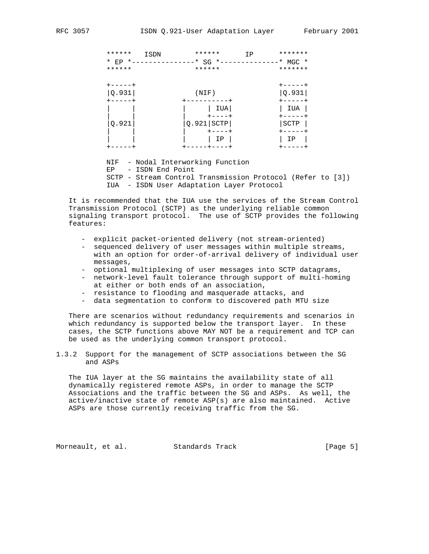| ******<br>* EP *-------<br>****** | ******<br>ISDN<br>$*$ SG $*$ -<br>------<br>****** | *******<br>IP<br>$*$ MGC $*$<br>******* |
|-----------------------------------|----------------------------------------------------|-----------------------------------------|
| $+ - - - - +$<br>Q.931            | (NIF)                                              | +-----+<br> Q.931                       |
| ----+                             | IUA<br>+----+                                      | IUA                                     |
| Q.921                             | $Q.921$ SCTP<br>- - - - +<br>ΙP                    | SCTP<br>ΙP                              |
|                                   |                                                    |                                         |

 NIF - Nodal Interworking Function EP - ISDN End Point SCTP - Stream Control Transmission Protocol (Refer to [3]) IUA - ISDN User Adaptation Layer Protocol

 It is recommended that the IUA use the services of the Stream Control Transmission Protocol (SCTP) as the underlying reliable common signaling transport protocol. The use of SCTP provides the following features:

- explicit packet-oriented delivery (not stream-oriented)
- sequenced delivery of user messages within multiple streams, with an option for order-of-arrival delivery of individual user messages,
- optional multiplexing of user messages into SCTP datagrams,
- network-level fault tolerance through support of multi-homing at either or both ends of an association,
- resistance to flooding and masquerade attacks, and
- data segmentation to conform to discovered path MTU size

 There are scenarios without redundancy requirements and scenarios in which redundancy is supported below the transport layer. In these cases, the SCTP functions above MAY NOT be a requirement and TCP can be used as the underlying common transport protocol.

1.3.2 Support for the management of SCTP associations between the SG and ASPs

 The IUA layer at the SG maintains the availability state of all dynamically registered remote ASPs, in order to manage the SCTP Associations and the traffic between the SG and ASPs. As well, the active/inactive state of remote ASP(s) are also maintained. Active ASPs are those currently receiving traffic from the SG.

Morneault, et al. Standards Track [Page 5]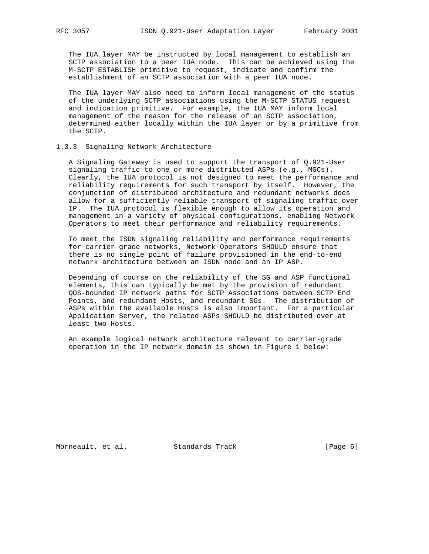The IUA layer MAY be instructed by local management to establish an SCTP association to a peer IUA node. This can be achieved using the M-SCTP ESTABLISH primitive to request, indicate and confirm the establishment of an SCTP association with a peer IUA node.

 The IUA layer MAY also need to inform local management of the status of the underlying SCTP associations using the M-SCTP STATUS request and indication primitive. For example, the IUA MAY inform local management of the reason for the release of an SCTP association, determined either locally within the IUA layer or by a primitive from the SCTP.

### 1.3.3 Signaling Network Architecture

 A Signaling Gateway is used to support the transport of Q.921-User signaling traffic to one or more distributed ASPs (e.g., MGCs). Clearly, the IUA protocol is not designed to meet the performance and reliability requirements for such transport by itself. However, the conjunction of distributed architecture and redundant networks does allow for a sufficiently reliable transport of signaling traffic over IP. The IUA protocol is flexible enough to allow its operation and management in a variety of physical configurations, enabling Network Operators to meet their performance and reliability requirements.

 To meet the ISDN signaling reliability and performance requirements for carrier grade networks, Network Operators SHOULD ensure that there is no single point of failure provisioned in the end-to-end network architecture between an ISDN node and an IP ASP.

 Depending of course on the reliability of the SG and ASP functional elements, this can typically be met by the provision of redundant QOS-bounded IP network paths for SCTP Associations between SCTP End Points, and redundant Hosts, and redundant SGs. The distribution of ASPs within the available Hosts is also important. For a particular Application Server, the related ASPs SHOULD be distributed over at least two Hosts.

 An example logical network architecture relevant to carrier-grade operation in the IP network domain is shown in Figure 1 below:

Morneault, et al. Standards Track [Page 6]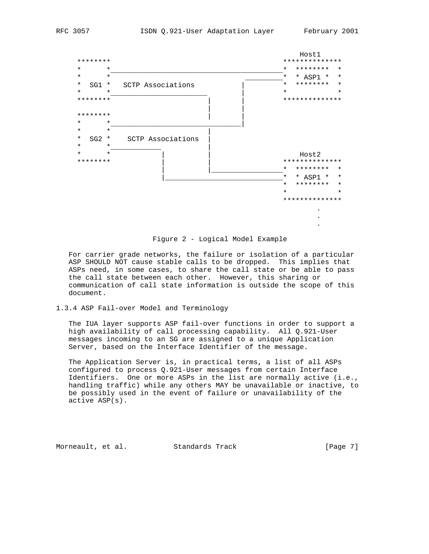

Figure 2 - Logical Model Example

 For carrier grade networks, the failure or isolation of a particular ASP SHOULD NOT cause stable calls to be dropped. This implies that ASPs need, in some cases, to share the call state or be able to pass the call state between each other. However, this sharing or communication of call state information is outside the scope of this document.

## 1.3.4 ASP Fail-over Model and Terminology

 The IUA layer supports ASP fail-over functions in order to support a high availability of call processing capability. All Q.921-User messages incoming to an SG are assigned to a unique Application Server, based on the Interface Identifier of the message.

 The Application Server is, in practical terms, a list of all ASPs configured to process Q.921-User messages from certain Interface Identifiers. One or more ASPs in the list are normally active (i.e., handling traffic) while any others MAY be unavailable or inactive, to be possibly used in the event of failure or unavailability of the active ASP(s).

Morneault, et al. Standards Track [Page 7]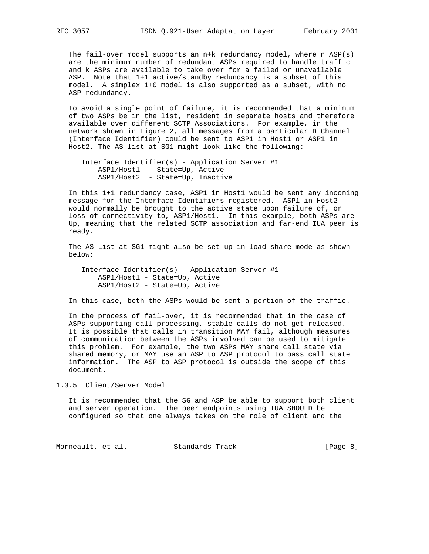The fail-over model supports an n+k redundancy model, where n ASP(s) are the minimum number of redundant ASPs required to handle traffic and k ASPs are available to take over for a failed or unavailable ASP. Note that 1+1 active/standby redundancy is a subset of this model. A simplex 1+0 model is also supported as a subset, with no ASP redundancy.

 To avoid a single point of failure, it is recommended that a minimum of two ASPs be in the list, resident in separate hosts and therefore available over different SCTP Associations. For example, in the network shown in Figure 2, all messages from a particular D Channel (Interface Identifier) could be sent to ASP1 in Host1 or ASP1 in Host2. The AS list at SG1 might look like the following:

 Interface Identifier(s) - Application Server #1 ASP1/Host1 - State=Up, Active ASP1/Host2 - State=Up, Inactive

 In this 1+1 redundancy case, ASP1 in Host1 would be sent any incoming message for the Interface Identifiers registered. ASP1 in Host2 would normally be brought to the active state upon failure of, or loss of connectivity to, ASP1/Host1. In this example, both ASPs are Up, meaning that the related SCTP association and far-end IUA peer is ready.

 The AS List at SG1 might also be set up in load-share mode as shown below:

 Interface Identifier(s) - Application Server #1 ASP1/Host1 - State=Up, Active ASP1/Host2 - State=Up, Active

In this case, both the ASPs would be sent a portion of the traffic.

 In the process of fail-over, it is recommended that in the case of ASPs supporting call processing, stable calls do not get released. It is possible that calls in transition MAY fail, although measures of communication between the ASPs involved can be used to mitigate this problem. For example, the two ASPs MAY share call state via shared memory, or MAY use an ASP to ASP protocol to pass call state information. The ASP to ASP protocol is outside the scope of this document.

1.3.5 Client/Server Model

 It is recommended that the SG and ASP be able to support both client and server operation. The peer endpoints using IUA SHOULD be configured so that one always takes on the role of client and the

Morneault, et al. Standards Track [Page 8]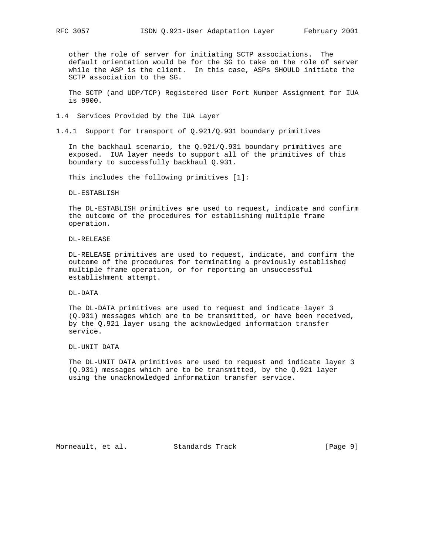other the role of server for initiating SCTP associations. The default orientation would be for the SG to take on the role of server while the ASP is the client. In this case, ASPs SHOULD initiate the SCTP association to the SG.

 The SCTP (and UDP/TCP) Registered User Port Number Assignment for IUA is 9900.

1.4 Services Provided by the IUA Layer

1.4.1 Support for transport of Q.921/Q.931 boundary primitives

In the backhaul scenario, the  $Q.921/Q.931$  boundary primitives are exposed. IUA layer needs to support all of the primitives of this boundary to successfully backhaul Q.931.

This includes the following primitives [1]:

DL-ESTABLISH

 The DL-ESTABLISH primitives are used to request, indicate and confirm the outcome of the procedures for establishing multiple frame operation.

DL-RELEASE

 DL-RELEASE primitives are used to request, indicate, and confirm the outcome of the procedures for terminating a previously established multiple frame operation, or for reporting an unsuccessful establishment attempt.

DL-DATA

 The DL-DATA primitives are used to request and indicate layer 3 (Q.931) messages which are to be transmitted, or have been received, by the Q.921 layer using the acknowledged information transfer service.

DL-UNIT DATA

 The DL-UNIT DATA primitives are used to request and indicate layer 3 (Q.931) messages which are to be transmitted, by the Q.921 layer using the unacknowledged information transfer service.

Morneault, et al. Standards Track [Page 9]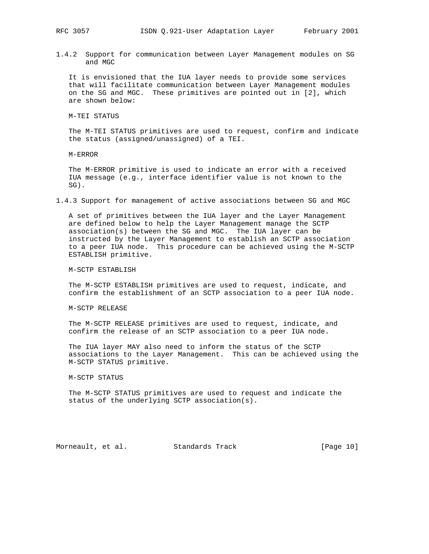1.4.2 Support for communication between Layer Management modules on SG and MGC

 It is envisioned that the IUA layer needs to provide some services that will facilitate communication between Layer Management modules on the SG and MGC. These primitives are pointed out in [2], which are shown below:

M-TEI STATUS

 The M-TEI STATUS primitives are used to request, confirm and indicate the status (assigned/unassigned) of a TEI.

M-ERROR

 The M-ERROR primitive is used to indicate an error with a received IUA message (e.g., interface identifier value is not known to the SG).

1.4.3 Support for management of active associations between SG and MGC

 A set of primitives between the IUA layer and the Layer Management are defined below to help the Layer Management manage the SCTP association(s) between the SG and MGC. The IUA layer can be instructed by the Layer Management to establish an SCTP association to a peer IUA node. This procedure can be achieved using the M-SCTP ESTABLISH primitive.

M-SCTP ESTABLISH

 The M-SCTP ESTABLISH primitives are used to request, indicate, and confirm the establishment of an SCTP association to a peer IUA node.

M-SCTP RELEASE

 The M-SCTP RELEASE primitives are used to request, indicate, and confirm the release of an SCTP association to a peer IUA node.

 The IUA layer MAY also need to inform the status of the SCTP associations to the Layer Management. This can be achieved using the M-SCTP STATUS primitive.

M-SCTP STATUS

 The M-SCTP STATUS primitives are used to request and indicate the status of the underlying SCTP association(s).

Morneault, et al. Standards Track [Page 10]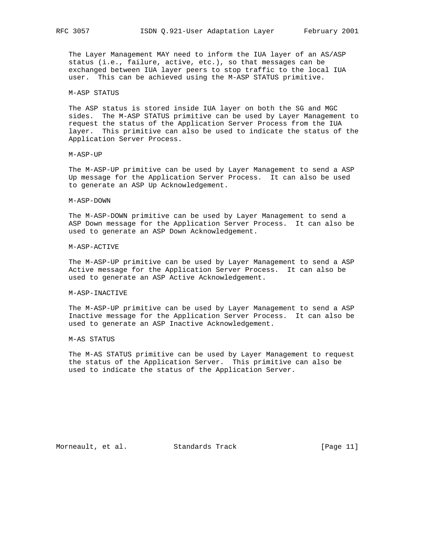The Layer Management MAY need to inform the IUA layer of an AS/ASP status (i.e., failure, active, etc.), so that messages can be exchanged between IUA layer peers to stop traffic to the local IUA user. This can be achieved using the M-ASP STATUS primitive.

### M-ASP STATUS

 The ASP status is stored inside IUA layer on both the SG and MGC sides. The M-ASP STATUS primitive can be used by Layer Management to request the status of the Application Server Process from the IUA layer. This primitive can also be used to indicate the status of the Application Server Process.

M-ASP-UP

 The M-ASP-UP primitive can be used by Layer Management to send a ASP Up message for the Application Server Process. It can also be used to generate an ASP Up Acknowledgement.

#### M-ASP-DOWN

 The M-ASP-DOWN primitive can be used by Layer Management to send a ASP Down message for the Application Server Process. It can also be used to generate an ASP Down Acknowledgement.

#### M-ASP-ACTIVE

 The M-ASP-UP primitive can be used by Layer Management to send a ASP Active message for the Application Server Process. It can also be used to generate an ASP Active Acknowledgement.

#### M-ASP-INACTIVE

 The M-ASP-UP primitive can be used by Layer Management to send a ASP Inactive message for the Application Server Process. It can also be used to generate an ASP Inactive Acknowledgement.

#### M-AS STATUS

 The M-AS STATUS primitive can be used by Layer Management to request the status of the Application Server. This primitive can also be used to indicate the status of the Application Server.

Morneault, et al. Standards Track [Page 11]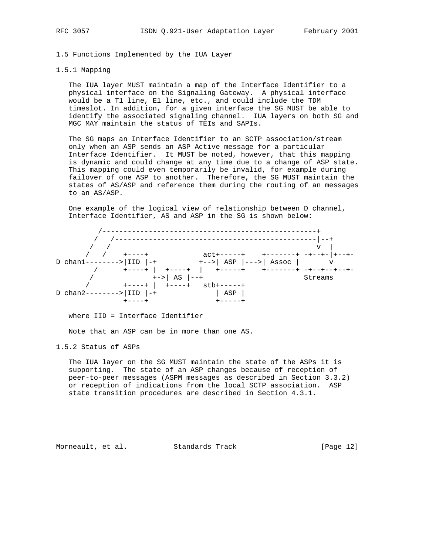## 1.5 Functions Implemented by the IUA Layer

#### 1.5.1 Mapping

 The IUA layer MUST maintain a map of the Interface Identifier to a physical interface on the Signaling Gateway. A physical interface would be a T1 line, E1 line, etc., and could include the TDM timeslot. In addition, for a given interface the SG MUST be able to identify the associated signaling channel. IUA layers on both SG and MGC MAY maintain the status of TEIs and SAPIs.

 The SG maps an Interface Identifier to an SCTP association/stream only when an ASP sends an ASP Active message for a particular Interface Identifier. It MUST be noted, however, that this mapping is dynamic and could change at any time due to a change of ASP state. This mapping could even temporarily be invalid, for example during failover of one ASP to another. Therefore, the SG MUST maintain the states of AS/ASP and reference them during the routing of an messages to an AS/ASP.

 One example of the logical view of relationship between D channel, Interface Identifier, AS and ASP in the SG is shown below:



where IID = Interface Identifier

Note that an ASP can be in more than one AS.

1.5.2 Status of ASPs

 The IUA layer on the SG MUST maintain the state of the ASPs it is supporting. The state of an ASP changes because of reception of peer-to-peer messages (ASPM messages as described in Section 3.3.2) or reception of indications from the local SCTP association. ASP state transition procedures are described in Section 4.3.1.

Morneault, et al. Standards Track [Page 12]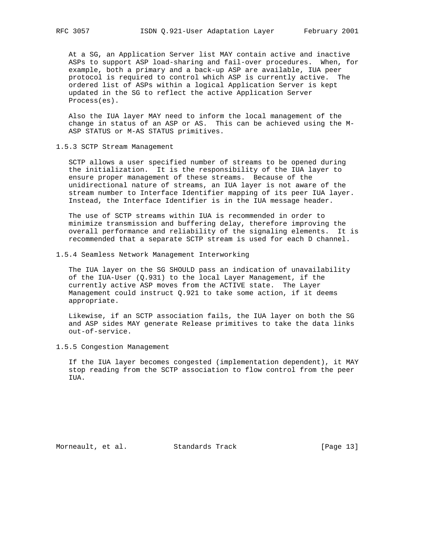At a SG, an Application Server list MAY contain active and inactive ASPs to support ASP load-sharing and fail-over procedures. When, for example, both a primary and a back-up ASP are available, IUA peer protocol is required to control which ASP is currently active. The ordered list of ASPs within a logical Application Server is kept updated in the SG to reflect the active Application Server Process(es).

 Also the IUA layer MAY need to inform the local management of the change in status of an ASP or AS. This can be achieved using the M- ASP STATUS or M-AS STATUS primitives.

1.5.3 SCTP Stream Management

 SCTP allows a user specified number of streams to be opened during the initialization. It is the responsibility of the IUA layer to ensure proper management of these streams. Because of the unidirectional nature of streams, an IUA layer is not aware of the stream number to Interface Identifier mapping of its peer IUA layer. Instead, the Interface Identifier is in the IUA message header.

 The use of SCTP streams within IUA is recommended in order to minimize transmission and buffering delay, therefore improving the overall performance and reliability of the signaling elements. It is recommended that a separate SCTP stream is used for each D channel.

1.5.4 Seamless Network Management Interworking

 The IUA layer on the SG SHOULD pass an indication of unavailability of the IUA-User (Q.931) to the local Layer Management, if the currently active ASP moves from the ACTIVE state. The Layer Management could instruct Q.921 to take some action, if it deems appropriate.

 Likewise, if an SCTP association fails, the IUA layer on both the SG and ASP sides MAY generate Release primitives to take the data links out-of-service.

1.5.5 Congestion Management

 If the IUA layer becomes congested (implementation dependent), it MAY stop reading from the SCTP association to flow control from the peer IUA.

Morneault, et al. Standards Track [Page 13]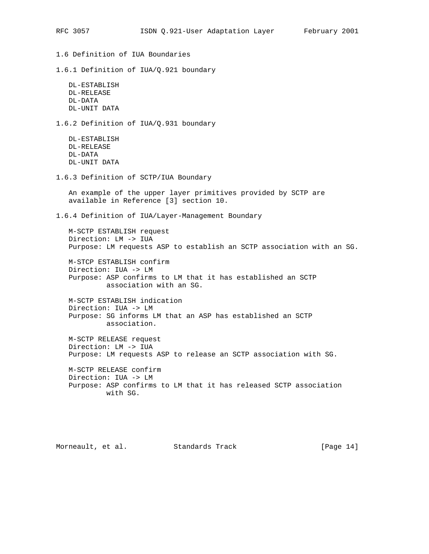1.6 Definition of IUA Boundaries

1.6.1 Definition of IUA/Q.921 boundary

 DL-ESTABLISH DL-RELEASE DL-DATA DL-UNIT DATA

1.6.2 Definition of IUA/Q.931 boundary

 DL-ESTABLISH DL-RELEASE DL-DATA DL-UNIT DATA

1.6.3 Definition of SCTP/IUA Boundary

 An example of the upper layer primitives provided by SCTP are available in Reference [3] section 10.

1.6.4 Definition of IUA/Layer-Management Boundary

 M-SCTP ESTABLISH request Direction: LM -> IUA Purpose: LM requests ASP to establish an SCTP association with an SG.

 M-STCP ESTABLISH confirm Direction: IUA -> LM Purpose: ASP confirms to LM that it has established an SCTP association with an SG.

 M-SCTP ESTABLISH indication Direction: IUA -> LM Purpose: SG informs LM that an ASP has established an SCTP association.

 M-SCTP RELEASE request Direction: LM -> IUA Purpose: LM requests ASP to release an SCTP association with SG.

 M-SCTP RELEASE confirm Direction: IUA -> LM Purpose: ASP confirms to LM that it has released SCTP association with SG.

Morneault, et al. Standards Track [Page 14]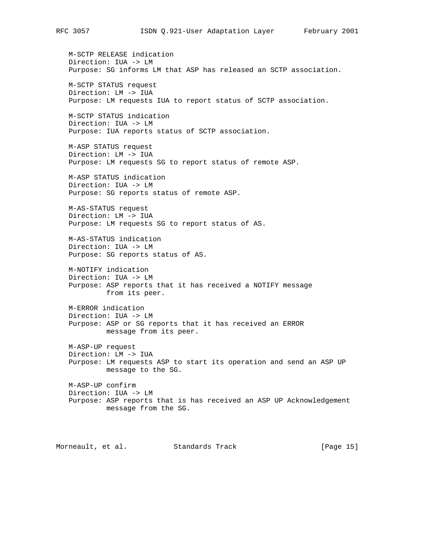M-SCTP RELEASE indication Direction: IUA -> LM Purpose: SG informs LM that ASP has released an SCTP association. M-SCTP STATUS request Direction: LM -> IUA Purpose: LM requests IUA to report status of SCTP association. M-SCTP STATUS indication Direction: IUA -> LM Purpose: IUA reports status of SCTP association. M-ASP STATUS request Direction: LM -> IUA Purpose: LM requests SG to report status of remote ASP. M-ASP STATUS indication Direction: IUA -> LM Purpose: SG reports status of remote ASP. M-AS-STATUS request Direction: LM -> IUA Purpose: LM requests SG to report status of AS. M-AS-STATUS indication Direction: IUA -> LM Purpose: SG reports status of AS. M-NOTIFY indication Direction: IUA -> LM Purpose: ASP reports that it has received a NOTIFY message from its peer. M-ERROR indication Direction: IUA -> LM Purpose: ASP or SG reports that it has received an ERROR message from its peer. M-ASP-UP request Direction: LM -> IUA Purpose: LM requests ASP to start its operation and send an ASP UP message to the SG. M-ASP-UP confirm Direction: IUA -> LM Purpose: ASP reports that is has received an ASP UP Acknowledgement message from the SG.

Morneault, et al. Standards Track [Page 15]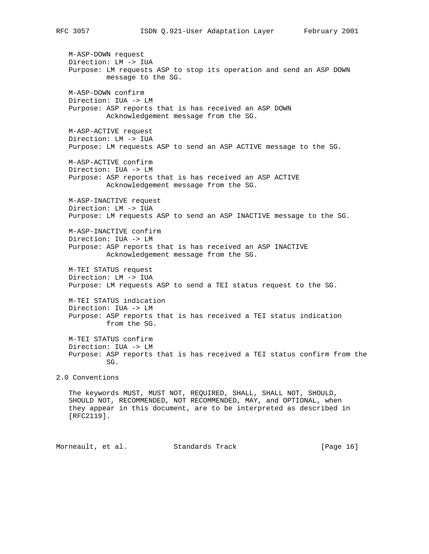M-ASP-DOWN request Direction: LM -> IUA Purpose: LM requests ASP to stop its operation and send an ASP DOWN message to the SG. M-ASP-DOWN confirm Direction: IUA -> LM Purpose: ASP reports that is has received an ASP DOWN Acknowledgement message from the SG. M-ASP-ACTIVE request Direction: LM -> IUA Purpose: LM requests ASP to send an ASP ACTIVE message to the SG. M-ASP-ACTIVE confirm Direction: IUA -> LM Purpose: ASP reports that is has received an ASP ACTIVE Acknowledgement message from the SG. M-ASP-INACTIVE request Direction: LM -> IUA Purpose: LM requests ASP to send an ASP INACTIVE message to the SG. M-ASP-INACTIVE confirm Direction: IUA -> LM Purpose: ASP reports that is has received an ASP INACTIVE Acknowledgement message from the SG. M-TEI STATUS request Direction: LM -> IUA Purpose: LM requests ASP to send a TEI status request to the SG. M-TEI STATUS indication Direction: IUA -> LM Purpose: ASP reports that is has received a TEI status indication from the SG. M-TEI STATUS confirm Direction: IUA -> LM Purpose: ASP reports that is has received a TEI status confirm from the SG. 2.0 Conventions The keywords MUST, MUST NOT, REQUIRED, SHALL, SHALL NOT, SHOULD, SHOULD NOT, RECOMMENDED, NOT RECOMMENDED, MAY, and OPTIONAL, when they appear in this document, are to be interpreted as described in [RFC2119].

Morneault, et al. Standards Track [Page 16]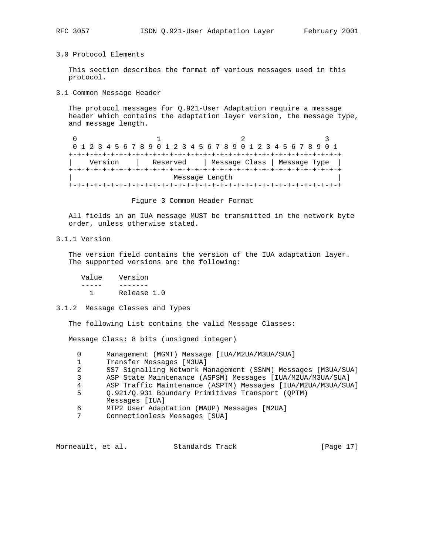## 3.0 Protocol Elements

 This section describes the format of various messages used in this protocol.

3.1 Common Message Header

 The protocol messages for Q.921-User Adaptation require a message header which contains the adaptation layer version, the message type, and message length.

0  $1$  2 3 0 1 2 3 4 5 6 7 8 9 0 1 2 3 4 5 6 7 8 9 0 1 2 3 4 5 6 7 8 9 0 1 +-+-+-+-+-+-+-+-+-+-+-+-+-+-+-+-+-+-+-+-+-+-+-+-+-+-+-+-+-+-+-+-+ Version | Reserved | Message Class | Message Type +-+-+-+-+-+-+-+-+-+-+-+-+-+-+-+-+-+-+-+-+-+-+-+-+-+-+-+-+-+-+-+-+ Message Length +-+-+-+-+-+-+-+-+-+-+-+-+-+-+-+-+-+-+-+-+-+-+-+-+-+-+-+-+-+-+-+-+

Figure 3 Common Header Format

 All fields in an IUA message MUST be transmitted in the network byte order, unless otherwise stated.

## 3.1.1 Version

 The version field contains the version of the IUA adaptation layer. The supported versions are the following:

 Value Version ----- ------- 1 Release 1.0

### 3.1.2 Message Classes and Types

The following List contains the valid Message Classes:

Message Class: 8 bits (unsigned integer)

 0 Management (MGMT) Message [IUA/M2UA/M3UA/SUA] 1 Transfer Messages [M3UA] 2 SS7 Signalling Network Management (SSNM) Messages [M3UA/SUA] 3 ASP State Maintenance (ASPSM) Messages [IUA/M2UA/M3UA/SUA] 4 ASP Traffic Maintenance (ASPTM) Messages [IUA/M2UA/M3UA/SUA] 5 Q.921/Q.931 Boundary Primitives Transport (QPTM) Messages [IUA] 6 MTP2 User Adaptation (MAUP) Messages [M2UA] 7 Connectionless Messages [SUA]

Morneault, et al. Standards Track [Page 17]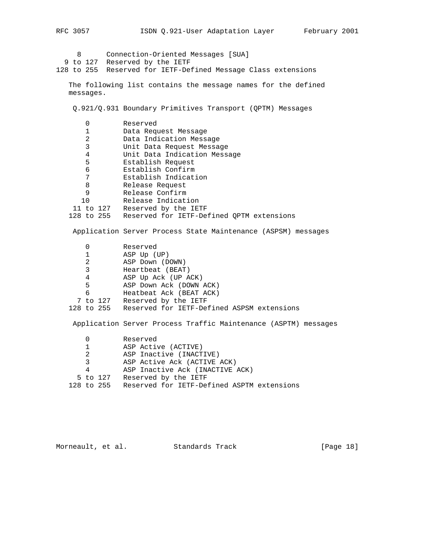8 Connection-Oriented Messages [SUA] 9 to 127 Reserved by the IETF 128 to 255 Reserved for IETF-Defined Message Class extensions The following list contains the message names for the defined messages. Q.921/Q.931 Boundary Primitives Transport (QPTM) Messages 0 Reserved 1 Data Request Message 2 Data Indication Message 3 Unit Data Request Message 4 Unit Data Indication Message 5 Establish Request 6 Establish Confirm 7 Establish Indication 8 Release Request 9 Release Confirm 10 Release Indication 11 to 127 Reserved by the IETF 128 to 255 Reserved for IETF-Defined QPTM extensions Application Server Process State Maintenance (ASPSM) messages 0 Reserved 1 ASP Up (UP) 2 ASP Down (DOWN) 3 Heartbeat (BEAT) 4 ASP Up Ack (UP ACK)<br>5 ASP Down Ack (DOWN 5 ASP Down Ack (DOWN ACK) 6 Heatbeat Ack (BEAT ACK) 7 to 127 Reserved by the IETF 128 to 255 Reserved for IETF-Defined ASPSM extensions Application Server Process Traffic Maintenance (ASPTM) messages 0 Reserved 1 ASP Active (ACTIVE) 2 ASP Inactive (INACTIVE) 3 ASP Active Ack (ACTIVE ACK)<br>4 ASP Inactive Ack (INACTIVE ASP Inactive Ack (INACTIVE ACK)

5 to 127 Reserved by the IETF

128 to 255 Reserved for IETF-Defined ASPTM extensions

Morneault, et al. Standards Track [Page 18]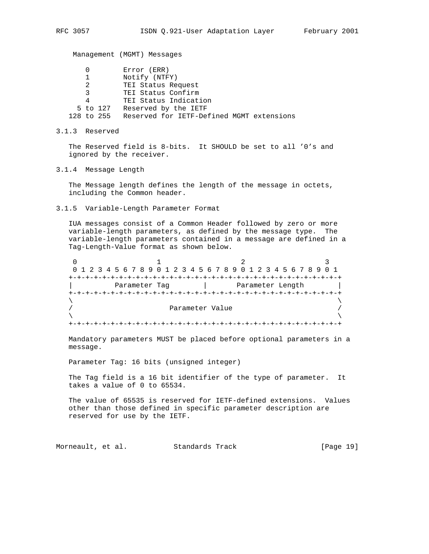Management (MGMT) Messages

|                | Error (ERR)                               |
|----------------|-------------------------------------------|
|                | Notify (NTFY)                             |
| 2              | TEI Status Request                        |
| $\mathcal{R}$  | TEI Status Confirm                        |
| 4              | TEI Status Indication                     |
| 5 to 127       | Reserved by the IETF                      |
| $128$ to $255$ | Reserved for IETF-Defined MGMT extensions |

3.1.3 Reserved

 The Reserved field is 8-bits. It SHOULD be set to all '0's and ignored by the receiver.

3.1.4 Message Length

 The Message length defines the length of the message in octets, including the Common header.

3.1.5 Variable-Length Parameter Format

 IUA messages consist of a Common Header followed by zero or more variable-length parameters, as defined by the message type. The variable-length parameters contained in a message are defined in a Tag-Length-Value format as shown below.

0  $1$  2 3 0 1 2 3 4 5 6 7 8 9 0 1 2 3 4 5 6 7 8 9 0 1 2 3 4 5 6 7 8 9 0 1 +-+-+-+-+-+-+-+-+-+-+-+-+-+-+-+-+-+-+-+-+-+-+-+-+-+-+-+-+-+-+-+-+ Parameter Tag  $|$  Parameter Length +-+-+-+-+-+-+-+-+-+-+-+-+-+-+-+-+-+-+-+-+-+-+-+-+-+-+-+-+-+-+-+-+  $\lambda$  and  $\lambda$  and  $\lambda$  and  $\lambda$  and  $\lambda$  and  $\lambda$  and  $\lambda$  and  $\lambda$  and  $\lambda$  and  $\lambda$  and  $\lambda$  and  $\lambda$  and  $\lambda$  and  $\lambda$  and  $\lambda$  and  $\lambda$  and  $\lambda$  and  $\lambda$  and  $\lambda$  and  $\lambda$  and  $\lambda$  and  $\lambda$  and  $\lambda$  and  $\lambda$  and  $\lambda$  Parameter Value  $/$  $\lambda$  and  $\lambda$  and  $\lambda$  and  $\lambda$  and  $\lambda$  and  $\lambda$  and  $\lambda$  and  $\lambda$  and  $\lambda$  and  $\lambda$  and  $\lambda$  and  $\lambda$  and  $\lambda$  and  $\lambda$  and  $\lambda$  and  $\lambda$  and  $\lambda$  and  $\lambda$  and  $\lambda$  and  $\lambda$  and  $\lambda$  and  $\lambda$  and  $\lambda$  and  $\lambda$  and  $\lambda$  +-+-+-+-+-+-+-+-+-+-+-+-+-+-+-+-+-+-+-+-+-+-+-+-+-+-+-+-+-+-+-+-+

 Mandatory parameters MUST be placed before optional parameters in a message.

Parameter Tag: 16 bits (unsigned integer)

 The Tag field is a 16 bit identifier of the type of parameter. It takes a value of 0 to 65534.

 The value of 65535 is reserved for IETF-defined extensions. Values other than those defined in specific parameter description are reserved for use by the IETF.

Morneault, et al. Standards Track [Page 19]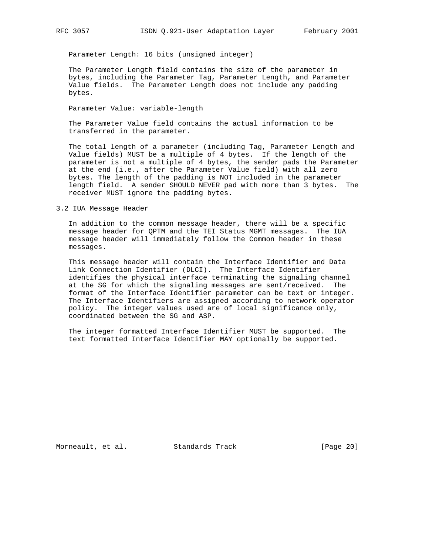Parameter Length: 16 bits (unsigned integer)

 The Parameter Length field contains the size of the parameter in bytes, including the Parameter Tag, Parameter Length, and Parameter Value fields. The Parameter Length does not include any padding bytes.

Parameter Value: variable-length

 The Parameter Value field contains the actual information to be transferred in the parameter.

 The total length of a parameter (including Tag, Parameter Length and Value fields) MUST be a multiple of 4 bytes. If the length of the parameter is not a multiple of 4 bytes, the sender pads the Parameter at the end (i.e., after the Parameter Value field) with all zero bytes. The length of the padding is NOT included in the parameter length field. A sender SHOULD NEVER pad with more than 3 bytes. The receiver MUST ignore the padding bytes.

#### 3.2 IUA Message Header

 In addition to the common message header, there will be a specific message header for QPTM and the TEI Status MGMT messages. The IUA message header will immediately follow the Common header in these messages.

 This message header will contain the Interface Identifier and Data Link Connection Identifier (DLCI). The Interface Identifier identifies the physical interface terminating the signaling channel at the SG for which the signaling messages are sent/received. The format of the Interface Identifier parameter can be text or integer. The Interface Identifiers are assigned according to network operator policy. The integer values used are of local significance only, coordinated between the SG and ASP.

 The integer formatted Interface Identifier MUST be supported. The text formatted Interface Identifier MAY optionally be supported.

Morneault, et al. Standards Track [Page 20]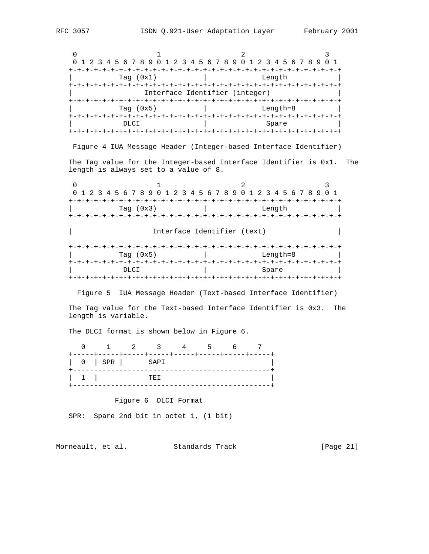0  $1$  2 3 0 1 2 3 4 5 6 7 8 9 0 1 2 3 4 5 6 7 8 9 0 1 2 3 4 5 6 7 8 9 0 1 +-+-+-+-+-+-+-+-+-+-+-+-+-+-+-+-+-+-+-+-+-+-+-+-+-+-+-+-+-+-+-+-+ Tag (0x1) | Length +-+-+-+-+-+-+-+-+-+-+-+-+-+-+-+-+-+-+-+-+-+-+-+-+-+-+-+-+-+-+-+-+ Interface Identifier (integer) +-+-+-+-+-+-+-+-+-+-+-+-+-+-+-+-+-+-+-+-+-+-+-+-+-+-+-+-+-+-+-+-+ Tag (0x5) | Length=8 +-+-+-+-+-+-+-+-+-+-+-+-+-+-+-+-+-+-+-+-+-+-+-+-+-+-+-+-+-+-+-+-+ | DLCI | Spare | Spare | +-+-+-+-+-+-+-+-+-+-+-+-+-+-+-+-+-+-+-+-+-+-+-+-+-+-+-+-+-+-+-+-+ Figure 4 IUA Message Header (Integer-based Interface Identifier) The Tag value for the Integer-based Interface Identifier is 0x1. The length is always set to a value of 8. 0  $1$  2 3 0 1 2 3 4 5 6 7 8 9 0 1 2 3 4 5 6 7 8 9 0 1 2 3 4 5 6 7 8 9 0 1 +-+-+-+-+-+-+-+-+-+-+-+-+-+-+-+-+-+-+-+-+-+-+-+-+-+-+-+-+-+-+-+-+ Tag (0x3) | Length +-+-+-+-+-+-+-+-+-+-+-+-+-+-+-+-+-+-+-+-+-+-+-+-+-+-+-+-+-+-+-+-+ Interface Identifier (text) +-+-+-+-+-+-+-+-+-+-+-+-+-+-+-+-+-+-+-+-+-+-+-+-+-+-+-+-+-+-+-+-+  $\lceil \log(0x5) \rceil$  | Length=8 | +-+-+-+-+-+-+-+-+-+-+-+-+-+-+-+-+-+-+-+-+-+-+-+-+-+-+-+-+-+-+-+-+ DLCI | Spare | Spare | Spare | Spare | Spare | Spare | Spare | Spare | Spare | Spare | Spare | Spare | Spare | Spare | Spare | Spare | Spare | Spare | Spare | Spare | Spare | Spare | Spare | Spare | Spare | Spare | Spare | +-+-+-+-+-+-+-+-+-+-+-+-+-+-+-+-+-+-+-+-+-+-+-+-+-+-+-+-+-+-+-+-+ Figure 5 IUA Message Header (Text-based Interface Identifier) The Tag value for the Text-based Interface Identifier is 0x3. The length is variable. The DLCI format is shown below in Figure 6. 0 1 2 3 4 5 6 7 +-----+-----+-----+-----+-----+-----+-----+-----+ | 0 | SPR | SAPI | +-----------------------------------------------+ | 1 | TEI | +-----------------------------------------------+ Figure 6 DLCI Format SPR: Spare 2nd bit in octet 1, (1 bit) Morneault, et al. Standards Track [Page 21]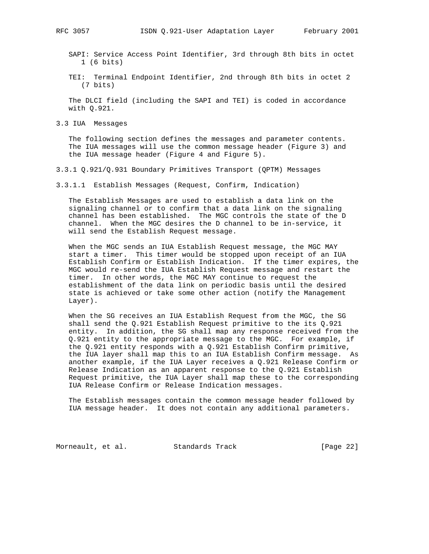SAPI: Service Access Point Identifier, 3rd through 8th bits in octet 1 (6 bits)

 TEI: Terminal Endpoint Identifier, 2nd through 8th bits in octet 2 (7 bits)

 The DLCI field (including the SAPI and TEI) is coded in accordance with Q.921.

3.3 IUA Messages

 The following section defines the messages and parameter contents. The IUA messages will use the common message header (Figure 3) and the IUA message header (Figure 4 and Figure 5).

3.3.1 Q.921/Q.931 Boundary Primitives Transport (QPTM) Messages

3.3.1.1 Establish Messages (Request, Confirm, Indication)

 The Establish Messages are used to establish a data link on the signaling channel or to confirm that a data link on the signaling channel has been established. The MGC controls the state of the D channel. When the MGC desires the D channel to be in-service, it will send the Establish Request message.

 When the MGC sends an IUA Establish Request message, the MGC MAY start a timer. This timer would be stopped upon receipt of an IUA Establish Confirm or Establish Indication. If the timer expires, the MGC would re-send the IUA Establish Request message and restart the timer. In other words, the MGC MAY continue to request the establishment of the data link on periodic basis until the desired state is achieved or take some other action (notify the Management Layer).

 When the SG receives an IUA Establish Request from the MGC, the SG shall send the Q.921 Establish Request primitive to the its Q.921 entity. In addition, the SG shall map any response received from the Q.921 entity to the appropriate message to the MGC. For example, if the Q.921 entity responds with a Q.921 Establish Confirm primitive, the IUA layer shall map this to an IUA Establish Confirm message. As another example, if the IUA Layer receives a Q.921 Release Confirm or Release Indication as an apparent response to the Q.921 Establish Request primitive, the IUA Layer shall map these to the corresponding IUA Release Confirm or Release Indication messages.

 The Establish messages contain the common message header followed by IUA message header. It does not contain any additional parameters.

Morneault, et al. Standards Track [Page 22]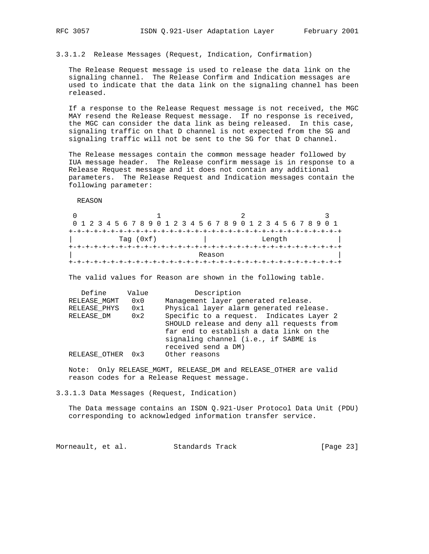3.3.1.2 Release Messages (Request, Indication, Confirmation)

 The Release Request message is used to release the data link on the signaling channel. The Release Confirm and Indication messages are used to indicate that the data link on the signaling channel has been released.

 If a response to the Release Request message is not received, the MGC MAY resend the Release Request message. If no response is received, the MGC can consider the data link as being released. In this case, signaling traffic on that D channel is not expected from the SG and signaling traffic will not be sent to the SG for that D channel.

 The Release messages contain the common message header followed by IUA message header. The Release confirm message is in response to a Release Request message and it does not contain any additional parameters. The Release Request and Indication messages contain the following parameter:

REASON

|  | 0 1 2 3 4 5 6 7 8 9 0 1 2 3 4 5 6 7 8 9 0 1 2 3 4 5 6 7 8 9 0 1 |  |  |  |             |  |  |  |        |  |  |  |  |  |  |  |  |        |  |  |  |  |  |
|--|-----------------------------------------------------------------|--|--|--|-------------|--|--|--|--------|--|--|--|--|--|--|--|--|--------|--|--|--|--|--|
|  |                                                                 |  |  |  |             |  |  |  |        |  |  |  |  |  |  |  |  |        |  |  |  |  |  |
|  |                                                                 |  |  |  | Tag $(0xf)$ |  |  |  |        |  |  |  |  |  |  |  |  | Length |  |  |  |  |  |
|  |                                                                 |  |  |  |             |  |  |  |        |  |  |  |  |  |  |  |  |        |  |  |  |  |  |
|  |                                                                 |  |  |  |             |  |  |  | Reason |  |  |  |  |  |  |  |  |        |  |  |  |  |  |
|  |                                                                 |  |  |  |             |  |  |  |        |  |  |  |  |  |  |  |  |        |  |  |  |  |  |

The valid values for Reason are shown in the following table.

| Define<br>Value      | Description                               |
|----------------------|-------------------------------------------|
| RELEASE MGMT<br>0x0  | Management layer generated release.       |
| RELEASE PHYS<br>0x1  | Physical layer alarm generated release.   |
| RELEASE DM<br>0x2    | Specific to a request. Indicates Layer 2  |
|                      | SHOULD release and deny all requests from |
|                      | far end to establish a data link on the   |
|                      | signaling channel (i.e., if SABME is      |
|                      | received send a DM)                       |
| RELEASE OTHER<br>0x3 | Other reasons                             |

 Note: Only RELEASE\_MGMT, RELEASE\_DM and RELEASE\_OTHER are valid reason codes for a Release Request message.

3.3.1.3 Data Messages (Request, Indication)

 The Data message contains an ISDN Q.921-User Protocol Data Unit (PDU) corresponding to acknowledged information transfer service.

Morneault, et al. Standards Track [Page 23]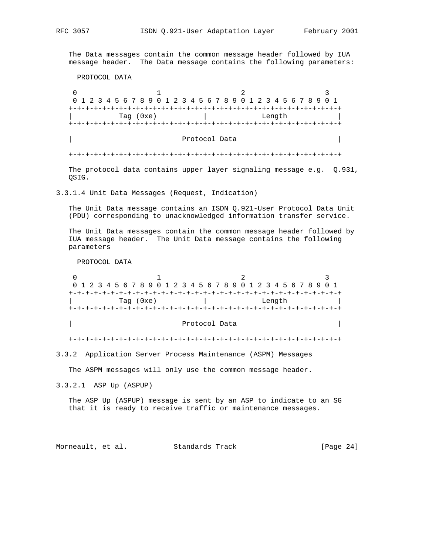The Data messages contain the common message header followed by IUA message header. The Data message contains the following parameters:

PROTOCOL DATA

0  $1$  2 3 0 1 2 3 4 5 6 7 8 9 0 1 2 3 4 5 6 7 8 9 0 1 2 3 4 5 6 7 8 9 0 1 +-+-+-+-+-+-+-+-+-+-+-+-+-+-+-+-+-+-+-+-+-+-+-+-+-+-+-+-+-+-+-+-+ | Tag (0xe) | Length | +-+-+-+-+-+-+-+-+-+-+-+-+-+-+-+-+-+-+-+-+-+-+-+-+-+-+-+-+-+-+-+-+ Protocol Data  $\vert$ +-+-+-+-+-+-+-+-+-+-+-+-+-+-+-+-+-+-+-+-+-+-+-+-+-+-+-+-+-+-+-+-+

 The protocol data contains upper layer signaling message e.g. Q.931, QSIG.

3.3.1.4 Unit Data Messages (Request, Indication)

 The Unit Data message contains an ISDN Q.921-User Protocol Data Unit (PDU) corresponding to unacknowledged information transfer service.

 The Unit Data messages contain the common message header followed by IUA message header. The Unit Data message contains the following parameters

PROTOCOL DATA

0  $1$  2 3 0 1 2 3 4 5 6 7 8 9 0 1 2 3 4 5 6 7 8 9 0 1 2 3 4 5 6 7 8 9 0 1 +-+-+-+-+-+-+-+-+-+-+-+-+-+-+-+-+-+-+-+-+-+-+-+-+-+-+-+-+-+-+-+-+ Tag (0xe) | Length +-+-+-+-+-+-+-+-+-+-+-+-+-+-+-+-+-+-+-+-+-+-+-+-+-+-+-+-+-+-+-+-+ Protocol Data  $\vert$ 

+-+-+-+-+-+-+-+-+-+-+-+-+-+-+-+-+-+-+-+-+-+-+-+-+-+-+-+-+-+-+-+-+

3.3.2 Application Server Process Maintenance (ASPM) Messages

The ASPM messages will only use the common message header.

3.3.2.1 ASP Up (ASPUP)

 The ASP Up (ASPUP) message is sent by an ASP to indicate to an SG that it is ready to receive traffic or maintenance messages.

Morneault, et al. Standards Track [Page 24]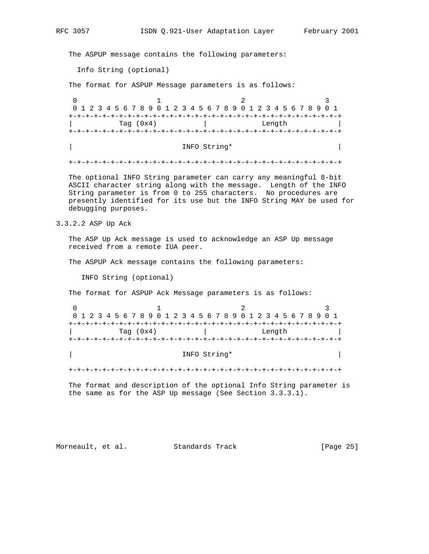The ASPUP message contains the following parameters:

Info String (optional)

The format for ASPUP Message parameters is as follows:

0  $1$  2 3 0 1 2 3 4 5 6 7 8 9 0 1 2 3 4 5 6 7 8 9 0 1 2 3 4 5 6 7 8 9 0 1 +-+-+-+-+-+-+-+-+-+-+-+-+-+-+-+-+-+-+-+-+-+-+-+-+-+-+-+-+-+-+-+-+ Tag (0x4) | Length +-+-+-+-+-+-+-+-+-+-+-+-+-+-+-+-+-+-+-+-+-+-+-+-+-+-+-+-+-+-+-+-+

| INFO String\* |

+-+-+-+-+-+-+-+-+-+-+-+-+-+-+-+-+-+-+-+-+-+-+-+-+-+-+-+-+-+-+-+-+

 The optional INFO String parameter can carry any meaningful 8-bit ASCII character string along with the message. Length of the INFO String parameter is from 0 to 255 characters. No procedures are presently identified for its use but the INFO String MAY be used for debugging purposes.

3.3.2.2 ASP Up Ack

 The ASP Up Ack message is used to acknowledge an ASP Up message received from a remote IUA peer.

The ASPUP Ack message contains the following parameters:

INFO String (optional)

The format for ASPUP Ack Message parameters is as follows:

| 0 1 2 3 4 5 6 7 8 9 0 1 2 3 4 5 6 7 8 9 0 1 2 3 4 5 6 7 8 9 0 1 |        |
|-----------------------------------------------------------------|--------|
|                                                                 |        |
| Tag $(0x4)$                                                     | Length |
|                                                                 |        |

## | INFO String\* | INFO String\* | INFO STRING  $\vert$

+-+-+-+-+-+-+-+-+-+-+-+-+-+-+-+-+-+-+-+-+-+-+-+-+-+-+-+-+-+-+-+-+

 The format and description of the optional Info String parameter is the same as for the ASP Up message (See Section 3.3.3.1).

Morneault, et al. Standards Track [Page 25]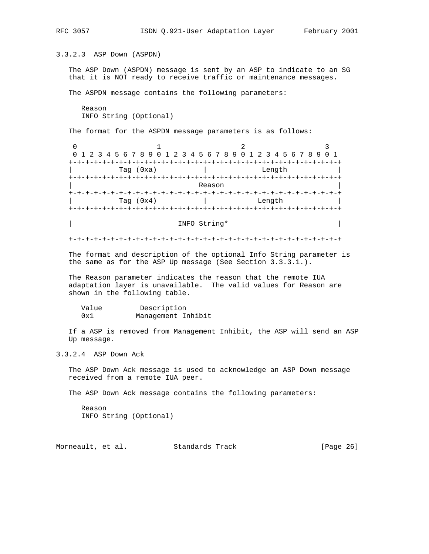3.3.2.3 ASP Down (ASPDN)

 The ASP Down (ASPDN) message is sent by an ASP to indicate to an SG that it is NOT ready to receive traffic or maintenance messages.

The ASPDN message contains the following parameters:

 Reason INFO String (Optional)

The format for the ASPDN message parameters is as follows:

0  $1$  2 3 0 1 2 3 4 5 6 7 8 9 0 1 2 3 4 5 6 7 8 9 0 1 2 3 4 5 6 7 8 9 0 1 +-+-+-+-+-+-+-+-+-+-+-+-+-+-+-+-+-+-+-+-+-+-+-+-+-+-+-+-+-+-+-+-+ | Tag (0xa) | Length | +-+-+-+-+-+-+-+-+-+-+-+-+-+-+-+-+-+-+-+-+-+-+-+-+-+-+-+-+-+-+-+-+ | Reason | +-+-+-+-+-+-+-+-+-+-+-+-+-+-+-+-+-+-+-+-+-+-+-+-+-+-+-+-+-+-+-+-+ Tag (0x4) | Length +-+-+-+-+-+-+-+-+-+-+-+-+-+-+-+-+-+-+-+-+-+-+-+-+-+-+-+-+-+-+-+-+

#### | INFO String\* |

+-+-+-+-+-+-+-+-+-+-+-+-+-+-+-+-+-+-+-+-+-+-+-+-+-+-+-+-+-+-+-+-+

 The format and description of the optional Info String parameter is the same as for the ASP Up message (See Section 3.3.3.1.).

 The Reason parameter indicates the reason that the remote IUA adaptation layer is unavailable. The valid values for Reason are shown in the following table.

| Value | Description        |
|-------|--------------------|
| 0x1   | Management Inhibit |

 If a ASP is removed from Management Inhibit, the ASP will send an ASP Up message.

3.3.2.4 ASP Down Ack

 The ASP Down Ack message is used to acknowledge an ASP Down message received from a remote IUA peer.

The ASP Down Ack message contains the following parameters:

 Reason INFO String (Optional)

Morneault, et al. Standards Track [Page 26]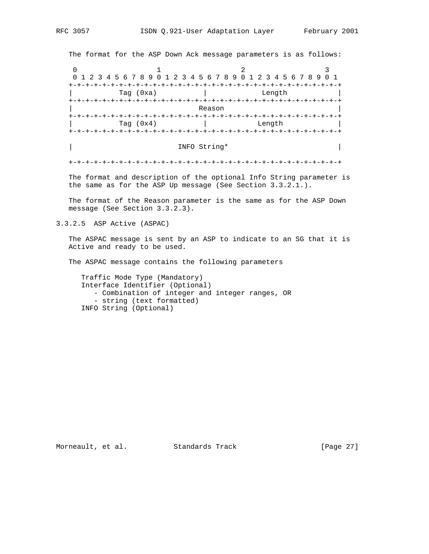The format for the ASP Down Ack message parameters is as follows:

0  $1$  2 3 0 1 2 3 4 5 6 7 8 9 0 1 2 3 4 5 6 7 8 9 0 1 2 3 4 5 6 7 8 9 0 1 +-+-+-+-+-+-+-+-+-+-+-+-+-+-+-+-+-+-+-+-+-+-+-+-+-+-+-+-+-+-+-+-+ Tag (0xa) | Length +-+-+-+-+-+-+-+-+-+-+-+-+-+-+-+-+-+-+-+-+-+-+-+-+-+-+-+-+-+-+-+-+ | Reason | +-+-+-+-+-+-+-+-+-+-+-+-+-+-+-+-+-+-+-+-+-+-+-+-+-+-+-+-+-+-+-+-+ | Tag (0x4) | Length | +-+-+-+-+-+-+-+-+-+-+-+-+-+-+-+-+-+-+-+-+-+-+-+-+-+-+-+-+-+-+-+-+

#### | INFO String\* |

+-+-+-+-+-+-+-+-+-+-+-+-+-+-+-+-+-+-+-+-+-+-+-+-+-+-+-+-+-+-+-+-+

 The format and description of the optional Info String parameter is the same as for the ASP Up message (See Section 3.3.2.1.).

 The format of the Reason parameter is the same as for the ASP Down message (See Section 3.3.2.3).

3.3.2.5 ASP Active (ASPAC)

 The ASPAC message is sent by an ASP to indicate to an SG that it is Active and ready to be used.

The ASPAC message contains the following parameters

 Traffic Mode Type (Mandatory) Interface Identifier (Optional) - Combination of integer and integer ranges, OR - string (text formatted) INFO String (Optional)

Morneault, et al. Standards Track [Page 27]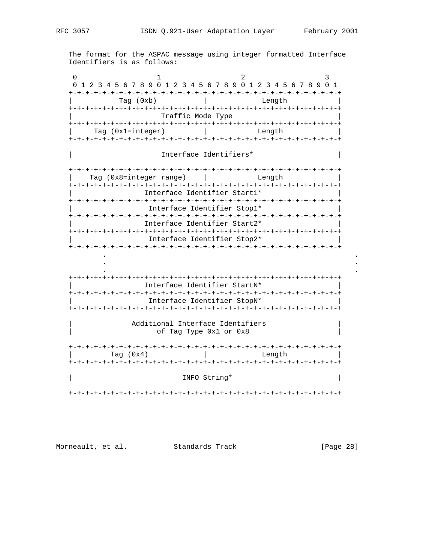The format for the ASPAC message using integer formatted Interface Identifiers is as follows:

| Tag $(0xb)$               |                                                            |  | -+-+-+-+-+-+-+-+-+-+-+-+-+-+-+-+<br>-+-+-+-+-+-+-+-+-<br>Length |                      |  |
|---------------------------|------------------------------------------------------------|--|-----------------------------------------------------------------|----------------------|--|
|                           | Traffic Mode Type                                          |  |                                                                 |                      |  |
| Tag $(0x1 = interest)$    |                                                            |  | Length                                                          |                      |  |
|                           | Interface Identifiers*                                     |  |                                                                 |                      |  |
| Tag $(0x8=integer range)$ |                                                            |  | Length                                                          | -+-+-+-+-+-+-+-+-+-+ |  |
|                           |                                                            |  |                                                                 |                      |  |
|                           | Interface Identifier Start1*                               |  |                                                                 |                      |  |
|                           |                                                            |  |                                                                 |                      |  |
|                           | Interface Identifier Stop1*                                |  |                                                                 |                      |  |
|                           |                                                            |  |                                                                 |                      |  |
|                           | Interface Identifier Start2*                               |  |                                                                 |                      |  |
|                           |                                                            |  |                                                                 |                      |  |
|                           | Interface Identifier Stop2*                                |  |                                                                 |                      |  |
|                           |                                                            |  |                                                                 |                      |  |
|                           |                                                            |  |                                                                 |                      |  |
|                           |                                                            |  |                                                                 |                      |  |
|                           |                                                            |  |                                                                 |                      |  |
|                           |                                                            |  |                                                                 |                      |  |
|                           | Interface Identifier StartN*                               |  |                                                                 |                      |  |
|                           |                                                            |  |                                                                 |                      |  |
|                           | Interface Identifier StopN*                                |  |                                                                 |                      |  |
|                           |                                                            |  |                                                                 |                      |  |
|                           | Additional Interface Identifiers<br>of Tag Type 0x1 or 0x8 |  |                                                                 |                      |  |
|                           |                                                            |  |                                                                 |                      |  |
| Tag $(0x4)$               |                                                            |  | Length                                                          |                      |  |
|                           |                                                            |  |                                                                 |                      |  |

Morneault, et al. Standards Track [Page 28]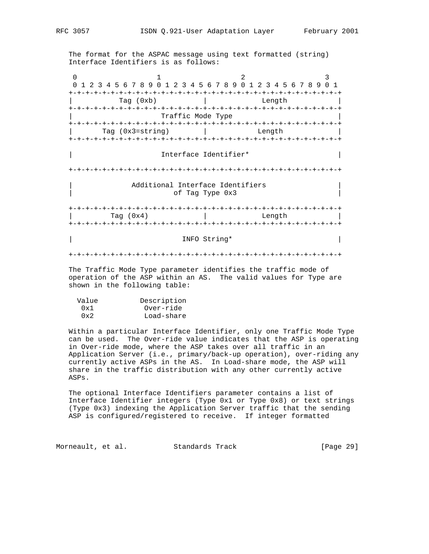The format for the ASPAC message using text formatted (string) Interface Identifiers is as follows:

0  $1$  2 3 0 1 2 3 4 5 6 7 8 9 0 1 2 3 4 5 6 7 8 9 0 1 2 3 4 5 6 7 8 9 0 1 +-+-+-+-+-+-+-+-+-+-+-+-+-+-+-+-+-+-+-+-+-+-+-+-+-+-+-+-+-+-+-+-+ Tag (0xb) | Length +-+-+-+-+-+-+-+-+-+-+-+-+-+-+-+-+-+-+-+-+-+-+-+-+-+-+-+-+-+-+-+-+ Traffic Mode Type +-+-+-+-+-+-+-+-+-+-+-+-+-+-+-+-+-+-+-+-+-+-+-+-+-+-+-+-+-+-+-+-+ | Tag (0x3=string) | Length | +-+-+-+-+-+-+-+-+-+-+-+-+-+-+-+-+-+-+-+-+-+-+-+-+-+-+-+-+-+-+-+-+ | Interface Identifier\* | +-+-+-+-+-+-+-+-+-+-+-+-+-+-+-+-+-+-+-+-+-+-+-+-+-+-+-+-+-+-+-+-+ Additional Interface Identifiers of Tag Type 0x3 +-+-+-+-+-+-+-+-+-+-+-+-+-+-+-+-+-+-+-+-+-+-+-+-+-+-+-+-+-+-+-+-+ | Tag (0x4) | Length | +-+-+-+-+-+-+-+-+-+-+-+-+-+-+-+-+-+-+-+-+-+-+-+-+-+-+-+-+-+-+-+-+ | INFO String\* | Info String | Info String | Info String | Info String | Info String | Info String | Info String | Info String | Info String | Info String | Info String | Info String | Info String | Info String | Info Stri +-+-+-+-+-+-+-+-+-+-+-+-+-+-+-+-+-+-+-+-+-+-+-+-+-+-+-+-+-+-+-+-+

 The Traffic Mode Type parameter identifies the traffic mode of operation of the ASP within an AS. The valid values for Type are shown in the following table:

| Value | Description |
|-------|-------------|
| 0x1   | Over-ride   |
| 0x2   | Load-share  |

 Within a particular Interface Identifier, only one Traffic Mode Type can be used. The Over-ride value indicates that the ASP is operating in Over-ride mode, where the ASP takes over all traffic in an Application Server (i.e., primary/back-up operation), over-riding any currently active ASPs in the AS. In Load-share mode, the ASP will share in the traffic distribution with any other currently active ASPs.

 The optional Interface Identifiers parameter contains a list of Interface Identifier integers (Type 0x1 or Type 0x8) or text strings (Type 0x3) indexing the Application Server traffic that the sending ASP is configured/registered to receive. If integer formatted

Morneault, et al. Standards Track [Page 29]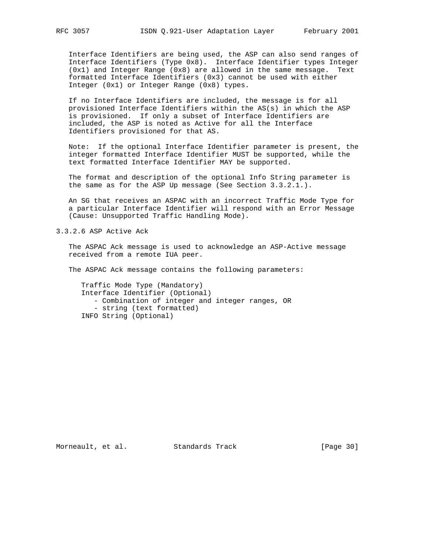Interface Identifiers are being used, the ASP can also send ranges of Interface Identifiers (Type 0x8). Interface Identifier types Integer (0x1) and Integer Range (0x8) are allowed in the same message. Text formatted Interface Identifiers (0x3) cannot be used with either Integer (0x1) or Integer Range (0x8) types.

 If no Interface Identifiers are included, the message is for all provisioned Interface Identifiers within the AS(s) in which the ASP is provisioned. If only a subset of Interface Identifiers are included, the ASP is noted as Active for all the Interface Identifiers provisioned for that AS.

 Note: If the optional Interface Identifier parameter is present, the integer formatted Interface Identifier MUST be supported, while the text formatted Interface Identifier MAY be supported.

 The format and description of the optional Info String parameter is the same as for the ASP Up message (See Section 3.3.2.1.).

 An SG that receives an ASPAC with an incorrect Traffic Mode Type for a particular Interface Identifier will respond with an Error Message (Cause: Unsupported Traffic Handling Mode).

3.3.2.6 ASP Active Ack

 The ASPAC Ack message is used to acknowledge an ASP-Active message received from a remote IUA peer.

The ASPAC Ack message contains the following parameters:

 Traffic Mode Type (Mandatory) Interface Identifier (Optional) - Combination of integer and integer ranges, OR - string (text formatted) INFO String (Optional)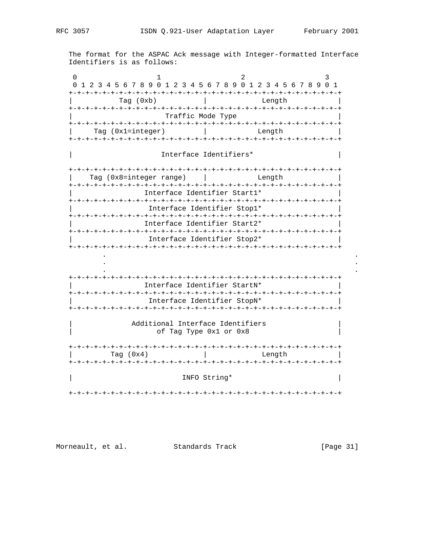The format for the ASPAC Ack message with Integer-formatted Interface Identifiers is as follows:

| Tag (0xb)                                                                  |                              | Length |                      |
|----------------------------------------------------------------------------|------------------------------|--------|----------------------|
|                                                                            | Traffic Mode Type            |        |                      |
| Tag (0x1=integer)                                                          |                              | Length |                      |
|                                                                            | Interface Identifiers*       |        |                      |
| Tag $(0x8=inter>integer range)$                                            |                              | Length | -+-+-+-+-+-+-+-+-+-+ |
|                                                                            | Interface Identifier Start1* |        |                      |
|                                                                            | Interface Identifier Stopl*  |        |                      |
|                                                                            |                              |        |                      |
|                                                                            | Interface Identifier Start2* |        |                      |
|                                                                            | Interface Identifier Stop2*  |        |                      |
|                                                                            |                              |        |                      |
|                                                                            |                              |        |                      |
|                                                                            |                              |        |                      |
|                                                                            |                              |        |                      |
|                                                                            |                              |        |                      |
|                                                                            | Interface Identifier StartN* |        |                      |
|                                                                            |                              |        |                      |
|                                                                            | Interface Identifier StopN*  |        |                      |
| -+-+-+-+-+-+-+-+-+-+-+-+-+-+-+-+-+-+-+<br>Additional Interface Identifiers | of Tag Type 0x1 or 0x8       |        |                      |
|                                                                            |                              |        |                      |
| Tag $(0x4)$                                                                |                              | Lenath |                      |

Morneault, et al. Standards Track [Page 31]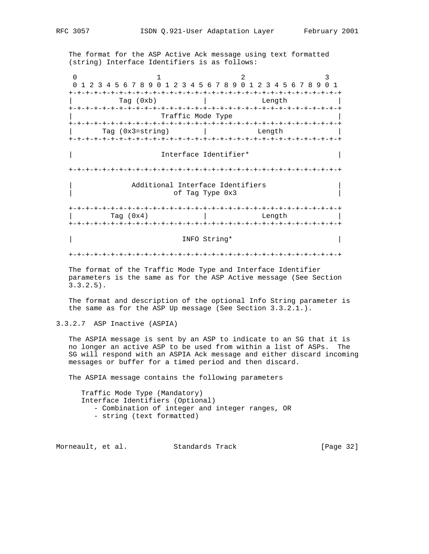The format for the ASP Active Ack message using text formatted (string) Interface Identifiers is as follows:

0  $1$  2 3 0 1 2 3 4 5 6 7 8 9 0 1 2 3 4 5 6 7 8 9 0 1 2 3 4 5 6 7 8 9 0 1 +-+-+-+-+-+-+-+-+-+-+-+-+-+-+-+-+-+-+-+-+-+-+-+-+-+-+-+-+-+-+-+-+ | Tag (0xb) | Length | +-+-+-+-+-+-+-+-+-+-+-+-+-+-+-+-+-+-+-+-+-+-+-+-+-+-+-+-+-+-+-+-+ Traffic Mode Type +-+-+-+-+-+-+-+-+-+-+-+-+-+-+-+-+-+-+-+-+-+-+-+-+-+-+-+-+-+-+-+-+ Tag (0x3=string) | Length +-+-+-+-+-+-+-+-+-+-+-+-+-+-+-+-+-+-+-+-+-+-+-+-+-+-+-+-+-+-+-+-+ | Interface Identifier\* | +-+-+-+-+-+-+-+-+-+-+-+-+-+-+-+-+-+-+-+-+-+-+-+-+-+-+-+-+-+-+-+-+ Additional Interface Identifiers of Tag Type 0x3 +-+-+-+-+-+-+-+-+-+-+-+-+-+-+-+-+-+-+-+-+-+-+-+-+-+-+-+-+-+-+-+-+ | Tag (0x4) | Length | +-+-+-+-+-+-+-+-+-+-+-+-+-+-+-+-+-+-+-+-+-+-+-+-+-+-+-+-+-+-+-+-+ | INFO String\* | INFO String\* | INFO STRING  $\vert$  +-+-+-+-+-+-+-+-+-+-+-+-+-+-+-+-+-+-+-+-+-+-+-+-+-+-+-+-+-+-+-+-+ The format of the Traffic Mode Type and Interface Identifier

 parameters is the same as for the ASP Active message (See Section 3.3.2.5).

 The format and description of the optional Info String parameter is the same as for the ASP Up message (See Section 3.3.2.1.).

3.3.2.7 ASP Inactive (ASPIA)

 The ASPIA message is sent by an ASP to indicate to an SG that it is no longer an active ASP to be used from within a list of ASPs. The SG will respond with an ASPIA Ack message and either discard incoming messages or buffer for a timed period and then discard.

The ASPIA message contains the following parameters

 Traffic Mode Type (Mandatory) Interface Identifiers (Optional) - Combination of integer and integer ranges, OR - string (text formatted)

Morneault, et al. Standards Track [Page 32]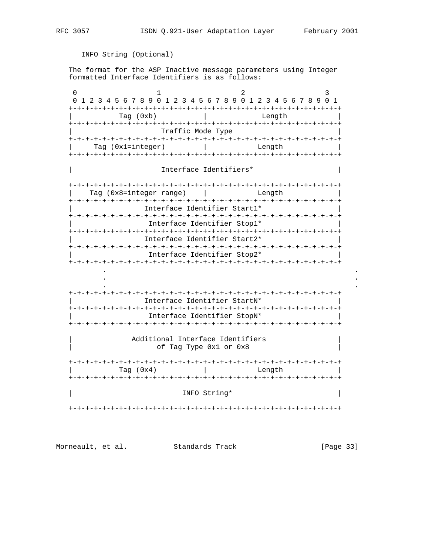The format for the ASP Inactive message parameters using Integer formatted Interface Identifiers is as follows: 0  $1$  2 3 0 1 2 3 4 5 6 7 8 9 0 1 2 3 4 5 6 7 8 9 0 1 2 3 4 5 6 7 8 9 0 1 +-+-+-+-+-+-+-+-+-+-+-+-+-+-+-+-+-+-+-+-+-+-+-+-+-+-+-+-+-+-+-+-+ | Tag (0xb) | Length | +-+-+-+-+-+-+-+-+-+-+-+-+-+-+-+-+-+-+-+-+-+-+-+-+-+-+-+-+-+-+-+-+ | Traffic Mode Type | +-+-+-+-+-+-+-+-+-+-+-+-+-+-+-+-+-+-+-+-+-+-+-+-+-+-+-+-+-+-+-+-+ | Tag (0x1=integer) | Length | +-+-+-+-+-+-+-+-+-+-+-+-+-+-+-+-+-+-+-+-+-+-+-+-+-+-+-+-+-+-+-+-+ | Interface Identifiers\* | +-+-+-+-+-+-+-+-+-+-+-+-+-+-+-+-+-+-+-+-+-+-+-+-+-+-+-+-+-+-+-+-+ | Tag (0x8=integer range) | Length | +-+-+-+-+-+-+-+-+-+-+-+-+-+-+-+-+-+-+-+-+-+-+-+-+-+-+-+-+-+-+-+-+ | Interface Identifier Start1\* | +-+-+-+-+-+-+-+-+-+-+-+-+-+-+-+-+-+-+-+-+-+-+-+-+-+-+-+-+-+-+-+-+ | Interface Identifier Stop1\* | +-+-+-+-+-+-+-+-+-+-+-+-+-+-+-+-+-+-+-+-+-+-+-+-+-+-+-+-+-+-+-+-+ | Interface Identifier Start2\* | +-+-+-+-+-+-+-+-+-+-+-+-+-+-+-+-+-+-+-+-+-+-+-+-+-+-+-+-+-+-+-+-+ | Interface Identifier Stop2\* | +-+-+-+-+-+-+-+-+-+-+-+-+-+-+-+-+-+-+-+-+-+-+-+-+-+-+-+-+-+-+-+-+ . . . . . . +-+-+-+-+-+-+-+-+-+-+-+-+-+-+-+-+-+-+-+-+-+-+-+-+-+-+-+-+-+-+-+-+ | Interface Identifier StartN\* | +-+-+-+-+-+-+-+-+-+-+-+-+-+-+-+-+-+-+-+-+-+-+-+-+-+-+-+-+-+-+-+-+ | Interface Identifier StopN\* | +-+-+-+-+-+-+-+-+-+-+-+-+-+-+-+-+-+-+-+-+-+-+-+-+-+-+-+-+-+-+-+-+ Additional Interface Identifiers of Tag Type 0x1 or 0x8 +-+-+-+-+-+-+-+-+-+-+-+-+-+-+-+-+-+-+-+-+-+-+-+-+-+-+-+-+-+-+-+-+ | Tag (0x4) | Length | +-+-+-+-+-+-+-+-+-+-+-+-+-+-+-+-+-+-+-+-+-+-+-+-+-+-+-+-+-+-+-+-+ | INFO String\* | +-+-+-+-+-+-+-+-+-+-+-+-+-+-+-+-+-+-+-+-+-+-+-+-+-+-+-+-+-+-+-+-+

Morneault, et al. Standards Track [Page 33]

INFO String (Optional)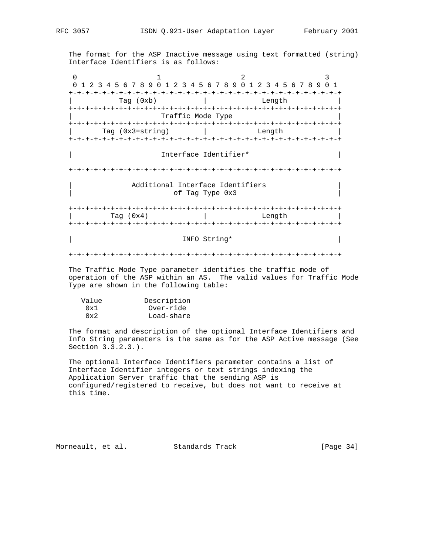The format for the ASP Inactive message using text formatted (string) Interface Identifiers is as follows:

0  $1$  2 3 0 1 2 3 4 5 6 7 8 9 0 1 2 3 4 5 6 7 8 9 0 1 2 3 4 5 6 7 8 9 0 1 +-+-+-+-+-+-+-+-+-+-+-+-+-+-+-+-+-+-+-+-+-+-+-+-+-+-+-+-+-+-+-+-+ | Tag (0xb) | Length | +-+-+-+-+-+-+-+-+-+-+-+-+-+-+-+-+-+-+-+-+-+-+-+-+-+-+-+-+-+-+-+-+ Traffic Mode Type +-+-+-+-+-+-+-+-+-+-+-+-+-+-+-+-+-+-+-+-+-+-+-+-+-+-+-+-+-+-+-+-+ Tag (0x3=string) | Length +-+-+-+-+-+-+-+-+-+-+-+-+-+-+-+-+-+-+-+-+-+-+-+-+-+-+-+-+-+-+-+-+ | Interface Identifier\* | +-+-+-+-+-+-+-+-+-+-+-+-+-+-+-+-+-+-+-+-+-+-+-+-+-+-+-+-+-+-+-+-+ Additional Interface Identifiers of Tag Type 0x3 +-+-+-+-+-+-+-+-+-+-+-+-+-+-+-+-+-+-+-+-+-+-+-+-+-+-+-+-+-+-+-+-+ | Tag (0x4) | Length | +-+-+-+-+-+-+-+-+-+-+-+-+-+-+-+-+-+-+-+-+-+-+-+-+-+-+-+-+-+-+-+-+ | INFO String\* | Info String | Info String | Info String | Info String | Info String | Info String | Info String | Info String | Info String | Info String | Info String | Info String | Info String | Info String | Info Stri +-+-+-+-+-+-+-+-+-+-+-+-+-+-+-+-+-+-+-+-+-+-+-+-+-+-+-+-+-+-+-+-+

 The Traffic Mode Type parameter identifies the traffic mode of operation of the ASP within an AS. The valid values for Traffic Mode Type are shown in the following table:

| Value | Description |
|-------|-------------|
| 0x1   | Over-ride   |
| 0x2   | Load-share  |

 The format and description of the optional Interface Identifiers and Info String parameters is the same as for the ASP Active message (See Section 3.3.2.3.).

 The optional Interface Identifiers parameter contains a list of Interface Identifier integers or text strings indexing the Application Server traffic that the sending ASP is configured/registered to receive, but does not want to receive at this time.

Morneault, et al. Standards Track [Page 34]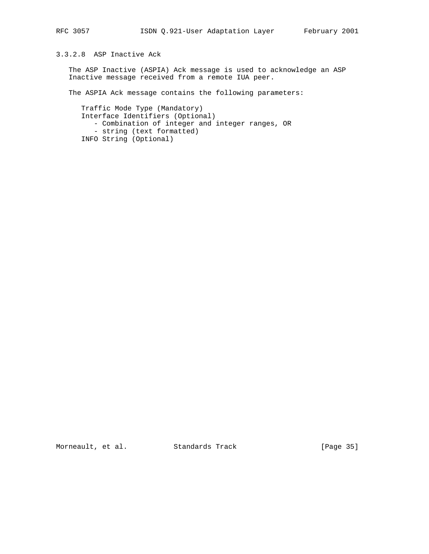# 3.3.2.8 ASP Inactive Ack

 The ASP Inactive (ASPIA) Ack message is used to acknowledge an ASP Inactive message received from a remote IUA peer.

The ASPIA Ack message contains the following parameters:

 Traffic Mode Type (Mandatory) Interface Identifiers (Optional) - Combination of integer and integer ranges, OR - string (text formatted) INFO String (Optional)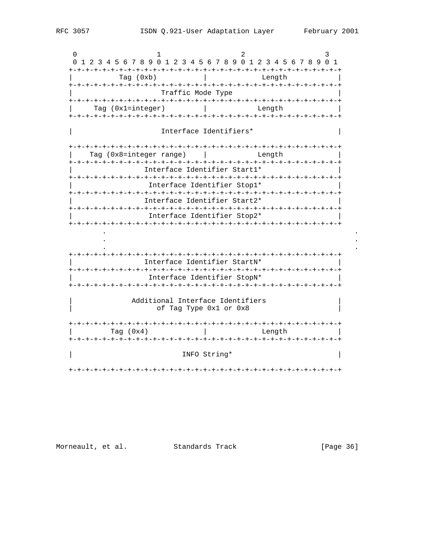$\cap$  $\mathcal{D}$  $\mathbf{1}$ 0 1 2 3 4 5 6 7 8 9 0 1 2 3 4 5 6 7 8 9 0 1 2 3 4 5 6 7 8 9 0 1  $Tag (0xb)$ Length Traffic Mode Type  $Tag (0x1=integer)$  | Length Interface Identifiers\* Tag (0x8=integer range) | | Length Interface Identifier Start1\* Interface Identifier Stop1\* Interface Identifier Start2\* Interface Identifier Stop2\* Interface Identifier StartN\* Interface Identifier StopN\* Additional Interface Identifiers of Tag Type 0x1 or 0x8 Tag  $(0x4)$ **Contract Contract Contract** Length INFO String\* 

Morneault, et al. Standards Track

[Page 36]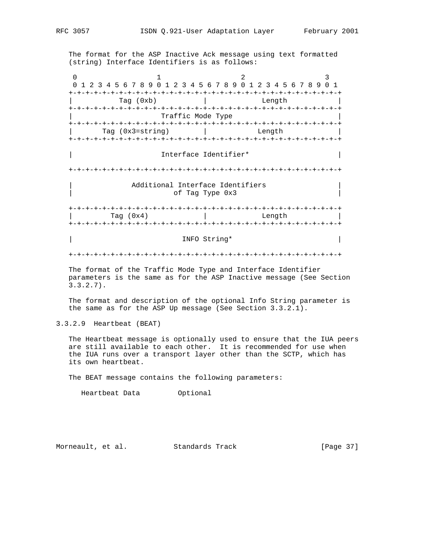The format for the ASP Inactive Ack message using text formatted (string) Interface Identifiers is as follows:

0  $1$  2 3 0 1 2 3 4 5 6 7 8 9 0 1 2 3 4 5 6 7 8 9 0 1 2 3 4 5 6 7 8 9 0 1 +-+-+-+-+-+-+-+-+-+-+-+-+-+-+-+-+-+-+-+-+-+-+-+-+-+-+-+-+-+-+-+-+ | Tag (0xb) | Length | +-+-+-+-+-+-+-+-+-+-+-+-+-+-+-+-+-+-+-+-+-+-+-+-+-+-+-+-+-+-+-+-+ | Traffic Mode Type | +-+-+-+-+-+-+-+-+-+-+-+-+-+-+-+-+-+-+-+-+-+-+-+-+-+-+-+-+-+-+-+-+ Tag (0x3=string) | Length +-+-+-+-+-+-+-+-+-+-+-+-+-+-+-+-+-+-+-+-+-+-+-+-+-+-+-+-+-+-+-+-+ | Interface Identifier\* | +-+-+-+-+-+-+-+-+-+-+-+-+-+-+-+-+-+-+-+-+-+-+-+-+-+-+-+-+-+-+-+-+ Additional Interface Identifiers of Tag Type 0x3 +-+-+-+-+-+-+-+-+-+-+-+-+-+-+-+-+-+-+-+-+-+-+-+-+-+-+-+-+-+-+-+-+ | Tag (0x4) | Length | +-+-+-+-+-+-+-+-+-+-+-+-+-+-+-+-+-+-+-+-+-+-+-+-+-+-+-+-+-+-+-+-+ | INFO String\* | Info String | Info String | Info String | Info String | Info String | Info String | Info String | Info String | Info String | Info String | Info String | Info String | Info String | Info String | Info Stri +-+-+-+-+-+-+-+-+-+-+-+-+-+-+-+-+-+-+-+-+-+-+-+-+-+-+-+-+-+-+-+-+

 The format of the Traffic Mode Type and Interface Identifier parameters is the same as for the ASP Inactive message (See Section 3.3.2.7).

 The format and description of the optional Info String parameter is the same as for the ASP Up message (See Section 3.3.2.1).

3.3.2.9 Heartbeat (BEAT)

 The Heartbeat message is optionally used to ensure that the IUA peers are still available to each other. It is recommended for use when the IUA runs over a transport layer other than the SCTP, which has its own heartbeat.

The BEAT message contains the following parameters:

Heartbeat Data Optional

Morneault, et al. Standards Track [Page 37]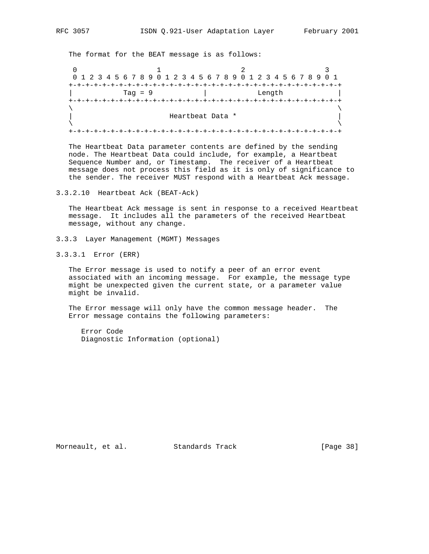The format for the BEAT message is as follows:

0  $1$  2 3 0 1 2 3 4 5 6 7 8 9 0 1 2 3 4 5 6 7 8 9 0 1 2 3 4 5 6 7 8 9 0 1 +-+-+-+-+-+-+-+-+-+-+-+-+-+-+-+-+-+-+-+-+-+-+-+-+-+-+-+-+-+-+-+-+ | Tag = 9 | Length | +-+-+-+-+-+-+-+-+-+-+-+-+-+-+-+-+-+-+-+-+-+-+-+-+-+-+-+-+-+-+-+-+  $\lambda$  and  $\lambda$  and  $\lambda$  and  $\lambda$  and  $\lambda$  and  $\lambda$  and  $\lambda$  and  $\lambda$  and  $\lambda$  and  $\lambda$  and  $\lambda$  and  $\lambda$  and  $\lambda$  and  $\lambda$  and  $\lambda$  and  $\lambda$  and  $\lambda$  and  $\lambda$  and  $\lambda$  and  $\lambda$  and  $\lambda$  and  $\lambda$  and  $\lambda$  and  $\lambda$  and  $\lambda$  | Heartbeat Data \* |  $\lambda$  and  $\lambda$  and  $\lambda$  and  $\lambda$  and  $\lambda$  and  $\lambda$  and  $\lambda$  and  $\lambda$  and  $\lambda$  and  $\lambda$  and  $\lambda$  and  $\lambda$  and  $\lambda$  and  $\lambda$  and  $\lambda$  and  $\lambda$  and  $\lambda$  and  $\lambda$  and  $\lambda$  and  $\lambda$  and  $\lambda$  and  $\lambda$  and  $\lambda$  and  $\lambda$  and  $\lambda$  +-+-+-+-+-+-+-+-+-+-+-+-+-+-+-+-+-+-+-+-+-+-+-+-+-+-+-+-+-+-+-+-+

 The Heartbeat Data parameter contents are defined by the sending node. The Heartbeat Data could include, for example, a Heartbeat Sequence Number and, or Timestamp. The receiver of a Heartbeat message does not process this field as it is only of significance to the sender. The receiver MUST respond with a Heartbeat Ack message.

3.3.2.10 Heartbeat Ack (BEAT-Ack)

 The Heartbeat Ack message is sent in response to a received Heartbeat message. It includes all the parameters of the received Heartbeat message, without any change.

- 3.3.3 Layer Management (MGMT) Messages
- 3.3.3.1 Error (ERR)

 The Error message is used to notify a peer of an error event associated with an incoming message. For example, the message type might be unexpected given the current state, or a parameter value might be invalid.

 The Error message will only have the common message header. The Error message contains the following parameters:

 Error Code Diagnostic Information (optional)

Morneault, et al. Standards Track [Page 38]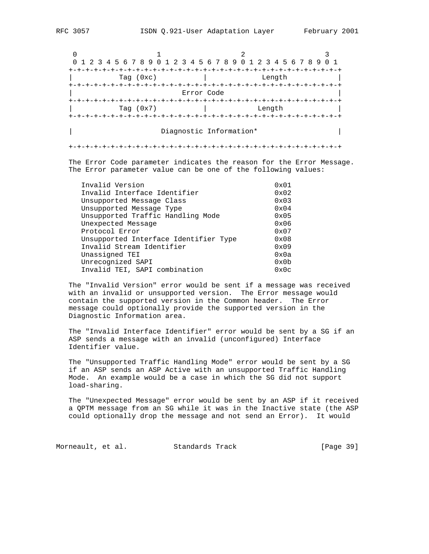0  $1$  2 3 0 1 2 3 4 5 6 7 8 9 0 1 2 3 4 5 6 7 8 9 0 1 2 3 4 5 6 7 8 9 0 1 +-+-+-+-+-+-+-+-+-+-+-+-+-+-+-+-+-+-+-+-+-+-+-+-+-+-+-+-+-+-+-+-+ Tag (0xc) | Length +-+-+-+-+-+-+-+-+-+-+-+-+-+-+-+-+-+-+-+-+-+-+-+-+-+-+-+-+-+-+-+-+ | Error Code | +-+-+-+-+-+-+-+-+-+-+-+-+-+-+-+-+-+-+-+-+-+-+-+-+-+-+-+-+-+-+-+-+ Tag (0x7) | Length +-+-+-+-+-+-+-+-+-+-+-+-+-+-+-+-+-+-+-+-+-+-+-+-+-+-+-+-+-+-+-+-+

Diagnostic Information\* |

+-+-+-+-+-+-+-+-+-+-+-+-+-+-+-+-+-+-+-+-+-+-+-+-+-+-+-+-+-+-+-+-+

 The Error Code parameter indicates the reason for the Error Message. The Error parameter value can be one of the following values:

| Invalid Version                       | 0x01          |
|---------------------------------------|---------------|
| Invalid Interface Identifier          | $0 \times 02$ |
| Unsupported Message Class             | $0 \times 03$ |
| Unsupported Message Type              | $0 \times 04$ |
| Unsupported Traffic Handling Mode     | $0 \times 05$ |
| Unexpected Message                    | 0x06          |
| Protocol Error                        | 0x07          |
| Unsupported Interface Identifier Type | $0 \times 08$ |
| Invalid Stream Identifier             | 0x09          |
| Unassigned TEI                        | 0x0a          |
| Unrecognized SAPI                     | 0x0b          |
| Invalid TEI, SAPI combination         | 0x0c          |
|                                       |               |

 The "Invalid Version" error would be sent if a message was received with an invalid or unsupported version. The Error message would contain the supported version in the Common header. The Error message could optionally provide the supported version in the Diagnostic Information area.

 The "Invalid Interface Identifier" error would be sent by a SG if an ASP sends a message with an invalid (unconfigured) Interface Identifier value.

 The "Unsupported Traffic Handling Mode" error would be sent by a SG if an ASP sends an ASP Active with an unsupported Traffic Handling Mode. An example would be a case in which the SG did not support load-sharing.

 The "Unexpected Message" error would be sent by an ASP if it received a QPTM message from an SG while it was in the Inactive state (the ASP could optionally drop the message and not send an Error). It would

Morneault, et al. Standards Track [Page 39]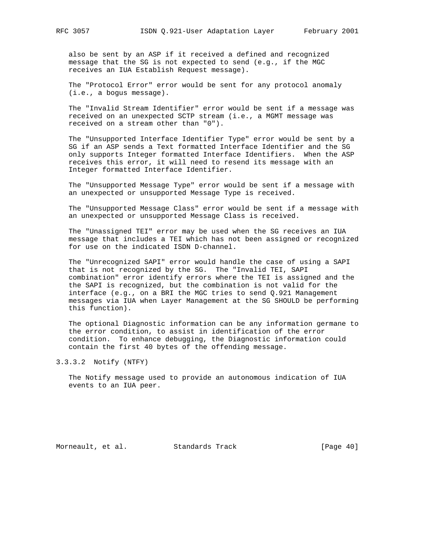also be sent by an ASP if it received a defined and recognized message that the SG is not expected to send (e.g., if the MGC receives an IUA Establish Request message).

 The "Protocol Error" error would be sent for any protocol anomaly (i.e., a bogus message).

 The "Invalid Stream Identifier" error would be sent if a message was received on an unexpected SCTP stream (i.e., a MGMT message was received on a stream other than "0").

 The "Unsupported Interface Identifier Type" error would be sent by a SG if an ASP sends a Text formatted Interface Identifier and the SG only supports Integer formatted Interface Identifiers. When the ASP receives this error, it will need to resend its message with an Integer formatted Interface Identifier.

 The "Unsupported Message Type" error would be sent if a message with an unexpected or unsupported Message Type is received.

 The "Unsupported Message Class" error would be sent if a message with an unexpected or unsupported Message Class is received.

 The "Unassigned TEI" error may be used when the SG receives an IUA message that includes a TEI which has not been assigned or recognized for use on the indicated ISDN D-channel.

 The "Unrecognized SAPI" error would handle the case of using a SAPI that is not recognized by the SG. The "Invalid TEI, SAPI combination" error identify errors where the TEI is assigned and the the SAPI is recognized, but the combination is not valid for the interface (e.g., on a BRI the MGC tries to send Q.921 Management messages via IUA when Layer Management at the SG SHOULD be performing this function).

 The optional Diagnostic information can be any information germane to the error condition, to assist in identification of the error condition. To enhance debugging, the Diagnostic information could contain the first 40 bytes of the offending message.

3.3.3.2 Notify (NTFY)

 The Notify message used to provide an autonomous indication of IUA events to an IUA peer.

Morneault, et al. Standards Track [Page 40]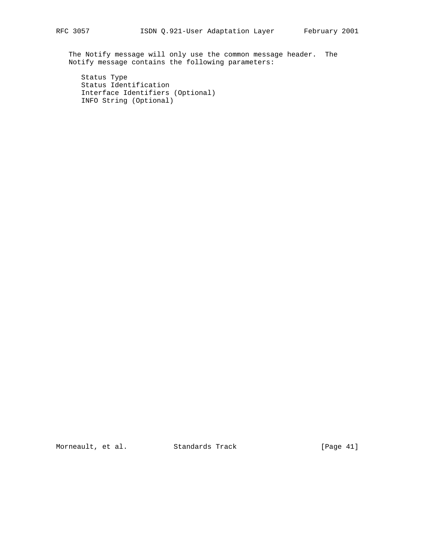The Notify message will only use the common message header. The Notify message contains the following parameters:

 Status Type Status Identification Interface Identifiers (Optional) INFO String (Optional)

Morneault, et al. Standards Track [Page 41]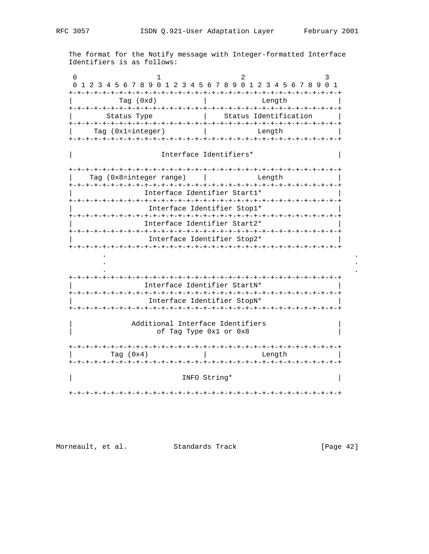The format for the Notify message with Integer-formatted Interface Identifiers is as follows:

|                             | Tag (0xd)               | Length                                                                 |
|-----------------------------|-------------------------|------------------------------------------------------------------------|
| Status Type                 |                         | Status Identification                                                  |
| Tag (0x1=integer)           |                         | Length                                                                 |
|                             |                         | Interface Identifiers*                                                 |
|                             | Tag (0x8=integer range) | -+-+-+-+-+-+-+-+-+-+<br>Length                                         |
|                             |                         | Interface Identifier Start1*                                           |
|                             |                         | Interface Identifier Stop1*                                            |
|                             |                         | Interface Identifier Start2*                                           |
|                             |                         |                                                                        |
|                             |                         |                                                                        |
|                             |                         | Interface Identifier Stop2*<br>-+-+-+-+-+-+-+-+-+-+-+-+-+-+-+-+-+-+-+- |
|                             |                         |                                                                        |
|                             |                         |                                                                        |
|                             |                         | Interface Identifier StartN*                                           |
|                             |                         | Interface Identifier StopN*                                            |
|                             |                         |                                                                        |
|                             |                         | Additional Interface Identifiers<br>of Tag Type 0x1 or 0x8             |
| -+-+-+-+-+-+<br>Tag $(0x4)$ |                         | Length                                                                 |

Morneault, et al. Standards Track [Page 42]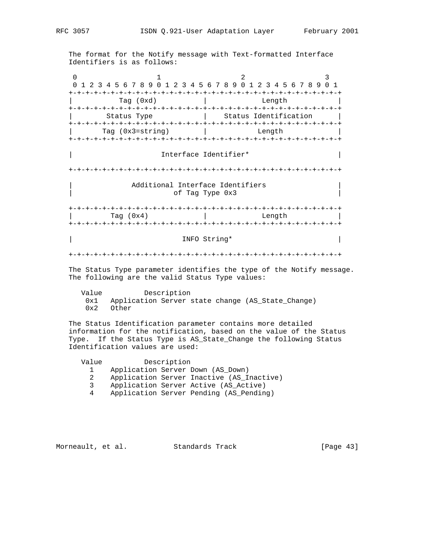The format for the Notify message with Text-formatted Interface Identifiers is as follows:

0  $1$  2 3 0 1 2 3 4 5 6 7 8 9 0 1 2 3 4 5 6 7 8 9 0 1 2 3 4 5 6 7 8 9 0 1 +-+-+-+-+-+-+-+-+-+-+-+-+-+-+-+-+-+-+-+-+-+-+-+-+-+-+-+-+-+-+-+-+ | Tag (0xd) | Length | +-+-+-+-+-+-+-+-+-+-+-+-+-+-+-+-+-+-+-+-+-+-+-+-+-+-+-+-+-+-+-+-+ | Status Type | Status Identification | +-+-+-+-+-+-+-+-+-+-+-+-+-+-+-+-+-+-+-+-+-+-+-+-+-+-+-+-+-+-+-+-+ Tag (0x3=string) | Length +-+-+-+-+-+-+-+-+-+-+-+-+-+-+-+-+-+-+-+-+-+-+-+-+-+-+-+-+-+-+-+-+ | Interface Identifier\* | +-+-+-+-+-+-+-+-+-+-+-+-+-+-+-+-+-+-+-+-+-+-+-+-+-+-+-+-+-+-+-+-+ Additional Interface Identifiers of Tag Type 0x3 +-+-+-+-+-+-+-+-+-+-+-+-+-+-+-+-+-+-+-+-+-+-+-+-+-+-+-+-+-+-+-+-+ | Tag (0x4) | Length | +-+-+-+-+-+-+-+-+-+-+-+-+-+-+-+-+-+-+-+-+-+-+-+-+-+-+-+-+-+-+-+-+ | INFO String\* | INFO String | INFO String | INFO STRING | INFO STRING | INFO STRING | INFO STRING | INFO STRING | INFO STRING | INFO STRING | INFO STRING | INFO STRING | INFO STRING | INFO STRING | INFO STRING | INFO STRI +-+-+-+-+-+-+-+-+-+-+-+-+-+-+-+-+-+-+-+-+-+-+-+-+-+-+-+-+-+-+-+-+ The Status Type parameter identifies the type of the Notify message. The following are the valid Status Type values:

 Value Description 0x1 Application Server state change (AS\_State\_Change) 0x2 Other

 The Status Identification parameter contains more detailed information for the notification, based on the value of the Status Type. If the Status Type is AS\_State\_Change the following Status Identification values are used:

| Value | Description |                                           |
|-------|-------------|-------------------------------------------|
|       |             | Application Server Down (AS_Down)         |
| 2     |             | Application Server Inactive (AS Inactive) |
| 3     |             | Application Server Active (AS Active)     |
| 4     |             | Application Server Pending (AS Pending)   |

Morneault, et al. Standards Track [Page 43]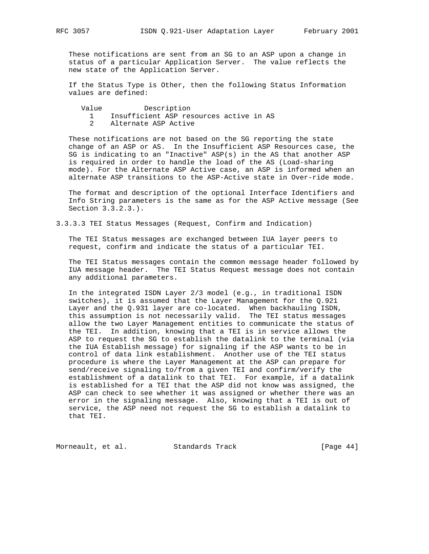These notifications are sent from an SG to an ASP upon a change in status of a particular Application Server. The value reflects the new state of the Application Server.

 If the Status Type is Other, then the following Status Information values are defined:

Value Description

- 1 Insufficient ASP resources active in AS
- 2 Alternate ASP Active

 These notifications are not based on the SG reporting the state change of an ASP or AS. In the Insufficient ASP Resources case, the SG is indicating to an "Inactive" ASP(s) in the AS that another ASP is required in order to handle the load of the AS (Load-sharing mode). For the Alternate ASP Active case, an ASP is informed when an alternate ASP transitions to the ASP-Active state in Over-ride mode.

 The format and description of the optional Interface Identifiers and Info String parameters is the same as for the ASP Active message (See Section 3.3.2.3.).

3.3.3.3 TEI Status Messages (Request, Confirm and Indication)

 The TEI Status messages are exchanged between IUA layer peers to request, confirm and indicate the status of a particular TEI.

 The TEI Status messages contain the common message header followed by IUA message header. The TEI Status Request message does not contain any additional parameters.

 In the integrated ISDN Layer 2/3 model (e.g., in traditional ISDN switches), it is assumed that the Layer Management for the Q.921 Layer and the Q.931 layer are co-located. When backhauling ISDN, this assumption is not necessarily valid. The TEI status messages allow the two Layer Management entities to communicate the status of the TEI. In addition, knowing that a TEI is in service allows the ASP to request the SG to establish the datalink to the terminal (via the IUA Establish message) for signaling if the ASP wants to be in control of data link establishment. Another use of the TEI status procedure is where the Layer Management at the ASP can prepare for send/receive signaling to/from a given TEI and confirm/verify the establishment of a datalink to that TEI. For example, if a datalink is established for a TEI that the ASP did not know was assigned, the ASP can check to see whether it was assigned or whether there was an error in the signaling message. Also, knowing that a TEI is out of service, the ASP need not request the SG to establish a datalink to that TEI.

Morneault, et al. Standards Track [Page 44]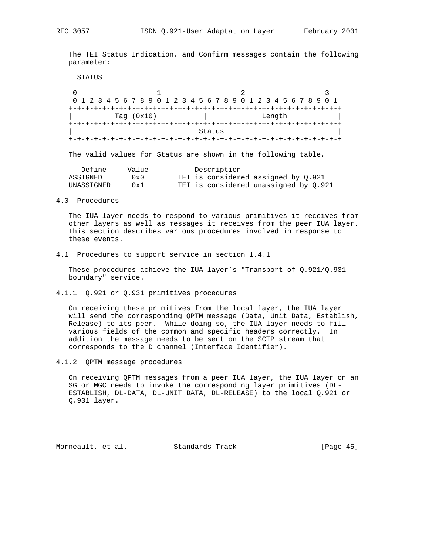The TEI Status Indication, and Confirm messages contain the following parameter:

```
 STATUS
```

| 0 1 2 3 4 5 6 7 8 9 0 1 2 3 4 5 6 7 8 9 0 1 2 3 4 5 6 7 8 9 0 1 |  |  |  |              |  |  |  |  |  |  |  |  |  |        |  |  |  |  |  |
|-----------------------------------------------------------------|--|--|--|--------------|--|--|--|--|--|--|--|--|--|--------|--|--|--|--|--|
|                                                                 |  |  |  |              |  |  |  |  |  |  |  |  |  |        |  |  |  |  |  |
|                                                                 |  |  |  | Tag $(0x10)$ |  |  |  |  |  |  |  |  |  | Length |  |  |  |  |  |
|                                                                 |  |  |  |              |  |  |  |  |  |  |  |  |  |        |  |  |  |  |  |
| Status                                                          |  |  |  |              |  |  |  |  |  |  |  |  |  |        |  |  |  |  |  |
|                                                                 |  |  |  |              |  |  |  |  |  |  |  |  |  |        |  |  |  |  |  |

The valid values for Status are shown in the following table.

| Define     | Value | Description                           |
|------------|-------|---------------------------------------|
| ASSIGNED   | 0x0   | TEI is considered assigned by 0.921   |
| UNASSIGNED | 0x1   | TEI is considered unassigned by 0.921 |

4.0 Procedures

 The IUA layer needs to respond to various primitives it receives from other layers as well as messages it receives from the peer IUA layer. This section describes various procedures involved in response to these events.

4.1 Procedures to support service in section 1.4.1

 These procedures achieve the IUA layer's "Transport of Q.921/Q.931 boundary" service.

4.1.1 Q.921 or Q.931 primitives procedures

 On receiving these primitives from the local layer, the IUA layer will send the corresponding QPTM message (Data, Unit Data, Establish, Release) to its peer. While doing so, the IUA layer needs to fill various fields of the common and specific headers correctly. In addition the message needs to be sent on the SCTP stream that corresponds to the D channel (Interface Identifier).

4.1.2 QPTM message procedures

 On receiving QPTM messages from a peer IUA layer, the IUA layer on an SG or MGC needs to invoke the corresponding layer primitives (DL- ESTABLISH, DL-DATA, DL-UNIT DATA, DL-RELEASE) to the local Q.921 or Q.931 layer.

Morneault, et al. Standards Track [Page 45]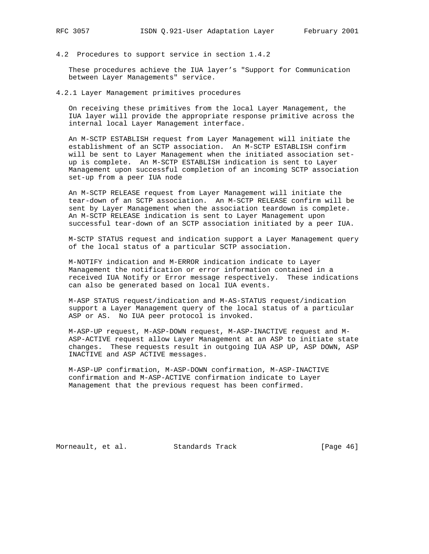4.2 Procedures to support service in section 1.4.2

 These procedures achieve the IUA layer's "Support for Communication between Layer Managements" service.

4.2.1 Layer Management primitives procedures

 On receiving these primitives from the local Layer Management, the IUA layer will provide the appropriate response primitive across the internal local Layer Management interface.

 An M-SCTP ESTABLISH request from Layer Management will initiate the establishment of an SCTP association. An M-SCTP ESTABLISH confirm will be sent to Layer Management when the initiated association set up is complete. An M-SCTP ESTABLISH indication is sent to Layer Management upon successful completion of an incoming SCTP association set-up from a peer IUA node

 An M-SCTP RELEASE request from Layer Management will initiate the tear-down of an SCTP association. An M-SCTP RELEASE confirm will be sent by Layer Management when the association teardown is complete. An M-SCTP RELEASE indication is sent to Layer Management upon successful tear-down of an SCTP association initiated by a peer IUA.

 M-SCTP STATUS request and indication support a Layer Management query of the local status of a particular SCTP association.

 M-NOTIFY indication and M-ERROR indication indicate to Layer Management the notification or error information contained in a received IUA Notify or Error message respectively. These indications can also be generated based on local IUA events.

 M-ASP STATUS request/indication and M-AS-STATUS request/indication support a Layer Management query of the local status of a particular ASP or AS. No IUA peer protocol is invoked.

 M-ASP-UP request, M-ASP-DOWN request, M-ASP-INACTIVE request and M- ASP-ACTIVE request allow Layer Management at an ASP to initiate state changes. These requests result in outgoing IUA ASP UP, ASP DOWN, ASP INACTIVE and ASP ACTIVE messages.

 M-ASP-UP confirmation, M-ASP-DOWN confirmation, M-ASP-INACTIVE confirmation and M-ASP-ACTIVE confirmation indicate to Layer Management that the previous request has been confirmed.

Morneault, et al. Standards Track [Page 46]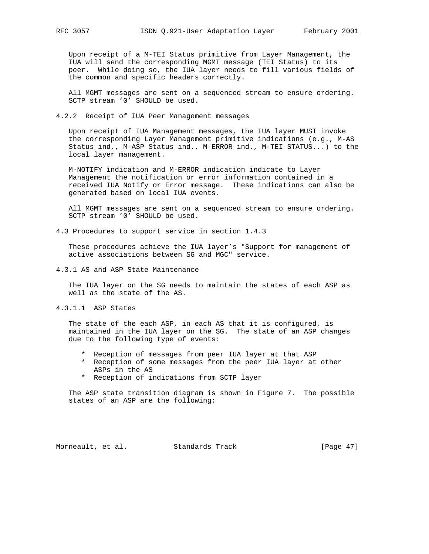Upon receipt of a M-TEI Status primitive from Layer Management, the IUA will send the corresponding MGMT message (TEI Status) to its peer. While doing so, the IUA layer needs to fill various fields of the common and specific headers correctly.

 All MGMT messages are sent on a sequenced stream to ensure ordering. SCTP stream '0' SHOULD be used.

4.2.2 Receipt of IUA Peer Management messages

 Upon receipt of IUA Management messages, the IUA layer MUST invoke the corresponding Layer Management primitive indications (e.g., M-AS Status ind., M-ASP Status ind., M-ERROR ind., M-TEI STATUS...) to the local layer management.

 M-NOTIFY indication and M-ERROR indication indicate to Layer Management the notification or error information contained in a received IUA Notify or Error message. These indications can also be generated based on local IUA events.

 All MGMT messages are sent on a sequenced stream to ensure ordering. SCTP stream '0' SHOULD be used.

4.3 Procedures to support service in section 1.4.3

 These procedures achieve the IUA layer's "Support for management of active associations between SG and MGC" service.

4.3.1 AS and ASP State Maintenance

 The IUA layer on the SG needs to maintain the states of each ASP as well as the state of the AS.

4.3.1.1 ASP States

 The state of the each ASP, in each AS that it is configured, is maintained in the IUA layer on the SG. The state of an ASP changes due to the following type of events:

- \* Reception of messages from peer IUA layer at that ASP
- \* Reception of some messages from the peer IUA layer at other ASPs in the AS
- \* Reception of indications from SCTP layer

 The ASP state transition diagram is shown in Figure 7. The possible states of an ASP are the following:

Morneault, et al. Standards Track [Page 47]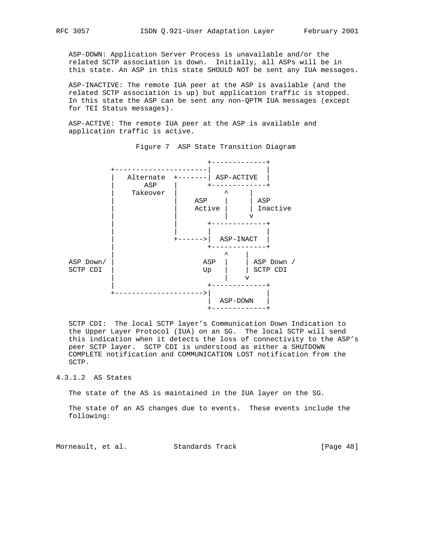ASP-DOWN: Application Server Process is unavailable and/or the related SCTP association is down. Initially, all ASPs will be in this state. An ASP in this state SHOULD NOT be sent any IUA messages.

 ASP-INACTIVE: The remote IUA peer at the ASP is available (and the related SCTP association is up) but application traffic is stopped. In this state the ASP can be sent any non-QPTM IUA messages (except for TEI Status messages).

 ASP-ACTIVE: The remote IUA peer at the ASP is available and application traffic is active.



Figure 7 ASP State Transition Diagram

 SCTP CDI: The local SCTP layer's Communication Down Indication to the Upper Layer Protocol (IUA) on an SG. The local SCTP will send this indication when it detects the loss of connectivity to the ASP's peer SCTP layer. SCTP CDI is understood as either a SHUTDOWN COMPLETE notification and COMMUNICATION LOST notification from the SCTP.

## 4.3.1.2 AS States

The state of the AS is maintained in the IUA layer on the SG.

 The state of an AS changes due to events. These events include the following:

Morneault, et al. Standards Track [Page 48]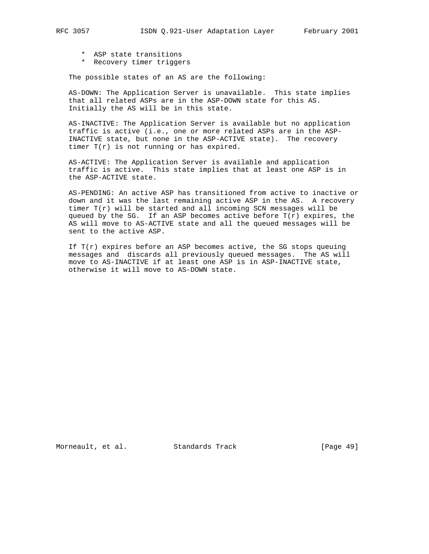- \* ASP state transitions
- \* Recovery timer triggers

The possible states of an AS are the following:

 AS-DOWN: The Application Server is unavailable. This state implies that all related ASPs are in the ASP-DOWN state for this AS. Initially the AS will be in this state.

 AS-INACTIVE: The Application Server is available but no application traffic is active (i.e., one or more related ASPs are in the ASP- INACTIVE state, but none in the ASP-ACTIVE state). The recovery timer T(r) is not running or has expired.

 AS-ACTIVE: The Application Server is available and application traffic is active. This state implies that at least one ASP is in the ASP-ACTIVE state.

 AS-PENDING: An active ASP has transitioned from active to inactive or down and it was the last remaining active ASP in the AS. A recovery timer  $T(r)$  will be started and all incoming SCN messages will be queued by the SG. If an ASP becomes active before  $T(r)$  expires, the AS will move to AS-ACTIVE state and all the queued messages will be sent to the active ASP.

If  $T(r)$  expires before an ASP becomes active, the SG stops queuing messages and discards all previously queued messages. The AS will move to AS-INACTIVE if at least one ASP is in ASP-INACTIVE state, otherwise it will move to AS-DOWN state.

Morneault, et al. Standards Track [Page 49]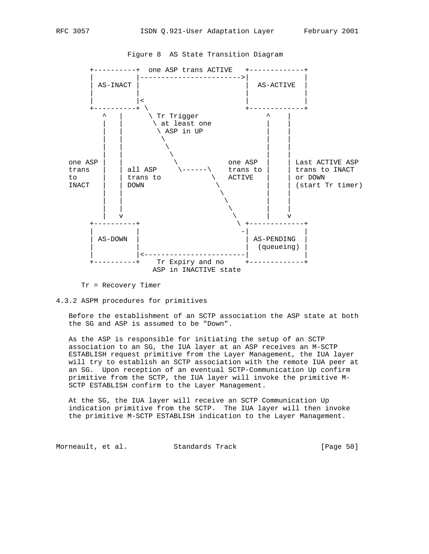

Figure 8 AS State Transition Diagram

Tr = Recovery Timer

## 4.3.2 ASPM procedures for primitives

 Before the establishment of an SCTP association the ASP state at both the SG and ASP is assumed to be "Down".

 As the ASP is responsible for initiating the setup of an SCTP association to an SG, the IUA layer at an ASP receives an M-SCTP ESTABLISH request primitive from the Layer Management, the IUA layer will try to establish an SCTP association with the remote IUA peer at an SG. Upon reception of an eventual SCTP-Communication Up confirm primitive from the SCTP, the IUA layer will invoke the primitive M- SCTP ESTABLISH confirm to the Layer Management.

 At the SG, the IUA layer will receive an SCTP Communication Up indication primitive from the SCTP. The IUA layer will then invoke the primitive M-SCTP ESTABLISH indication to the Layer Management.

Morneault, et al. Standards Track [Page 50]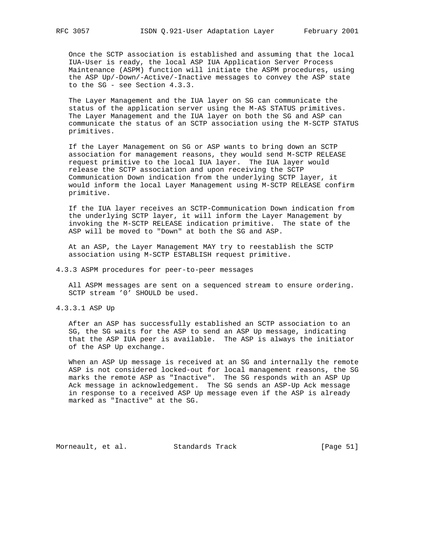Once the SCTP association is established and assuming that the local IUA-User is ready, the local ASP IUA Application Server Process Maintenance (ASPM) function will initiate the ASPM procedures, using the ASP Up/-Down/-Active/-Inactive messages to convey the ASP state to the SG - see Section 4.3.3.

 The Layer Management and the IUA layer on SG can communicate the status of the application server using the M-AS STATUS primitives. The Layer Management and the IUA layer on both the SG and ASP can communicate the status of an SCTP association using the M-SCTP STATUS primitives.

 If the Layer Management on SG or ASP wants to bring down an SCTP association for management reasons, they would send M-SCTP RELEASE request primitive to the local IUA layer. The IUA layer would release the SCTP association and upon receiving the SCTP Communication Down indication from the underlying SCTP layer, it would inform the local Layer Management using M-SCTP RELEASE confirm primitive.

 If the IUA layer receives an SCTP-Communication Down indication from the underlying SCTP layer, it will inform the Layer Management by invoking the M-SCTP RELEASE indication primitive. The state of the ASP will be moved to "Down" at both the SG and ASP.

 At an ASP, the Layer Management MAY try to reestablish the SCTP association using M-SCTP ESTABLISH request primitive.

4.3.3 ASPM procedures for peer-to-peer messages

 All ASPM messages are sent on a sequenced stream to ensure ordering. SCTP stream '0' SHOULD be used.

4.3.3.1 ASP Up

 After an ASP has successfully established an SCTP association to an SG, the SG waits for the ASP to send an ASP Up message, indicating that the ASP IUA peer is available. The ASP is always the initiator of the ASP Up exchange.

 When an ASP Up message is received at an SG and internally the remote ASP is not considered locked-out for local management reasons, the SG marks the remote ASP as "Inactive". The SG responds with an ASP Up Ack message in acknowledgement. The SG sends an ASP-Up Ack message in response to a received ASP Up message even if the ASP is already marked as "Inactive" at the SG.

Morneault, et al. Standards Track [Page 51]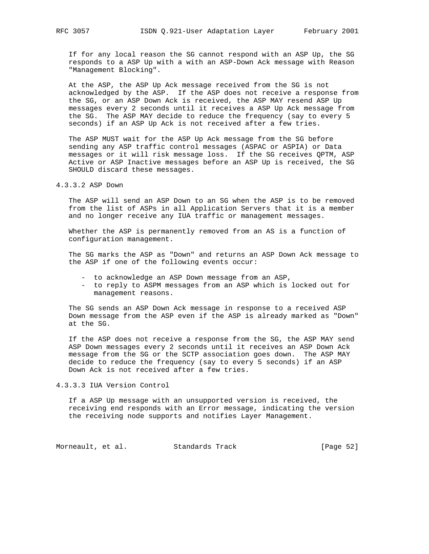If for any local reason the SG cannot respond with an ASP Up, the SG responds to a ASP Up with a with an ASP-Down Ack message with Reason "Management Blocking".

 At the ASP, the ASP Up Ack message received from the SG is not acknowledged by the ASP. If the ASP does not receive a response from the SG, or an ASP Down Ack is received, the ASP MAY resend ASP Up messages every 2 seconds until it receives a ASP Up Ack message from the SG. The ASP MAY decide to reduce the frequency (say to every 5 seconds) if an ASP Up Ack is not received after a few tries.

 The ASP MUST wait for the ASP Up Ack message from the SG before sending any ASP traffic control messages (ASPAC or ASPIA) or Data messages or it will risk message loss. If the SG receives QPTM, ASP Active or ASP Inactive messages before an ASP Up is received, the SG SHOULD discard these messages.

4.3.3.2 ASP Down

 The ASP will send an ASP Down to an SG when the ASP is to be removed from the list of ASPs in all Application Servers that it is a member and no longer receive any IUA traffic or management messages.

 Whether the ASP is permanently removed from an AS is a function of configuration management.

 The SG marks the ASP as "Down" and returns an ASP Down Ack message to the ASP if one of the following events occur:

- to acknowledge an ASP Down message from an ASP,
- to reply to ASPM messages from an ASP which is locked out for management reasons.

 The SG sends an ASP Down Ack message in response to a received ASP Down message from the ASP even if the ASP is already marked as "Down" at the SG.

 If the ASP does not receive a response from the SG, the ASP MAY send ASP Down messages every 2 seconds until it receives an ASP Down Ack message from the SG or the SCTP association goes down. The ASP MAY decide to reduce the frequency (say to every 5 seconds) if an ASP Down Ack is not received after a few tries.

4.3.3.3 IUA Version Control

 If a ASP Up message with an unsupported version is received, the receiving end responds with an Error message, indicating the version the receiving node supports and notifies Layer Management.

Morneault, et al. Standards Track [Page 52]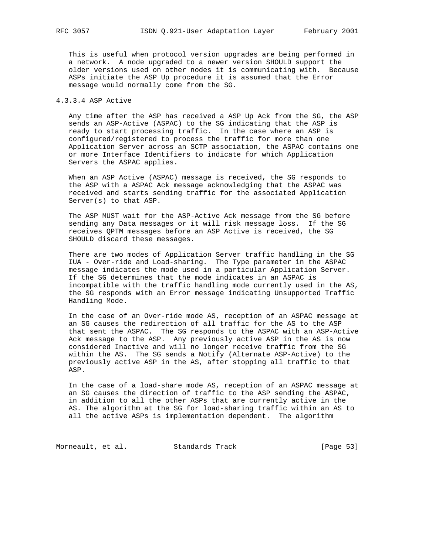This is useful when protocol version upgrades are being performed in a network. A node upgraded to a newer version SHOULD support the older versions used on other nodes it is communicating with. Because ASPs initiate the ASP Up procedure it is assumed that the Error message would normally come from the SG.

## 4.3.3.4 ASP Active

 Any time after the ASP has received a ASP Up Ack from the SG, the ASP sends an ASP-Active (ASPAC) to the SG indicating that the ASP is ready to start processing traffic. In the case where an ASP is configured/registered to process the traffic for more than one Application Server across an SCTP association, the ASPAC contains one or more Interface Identifiers to indicate for which Application Servers the ASPAC applies.

 When an ASP Active (ASPAC) message is received, the SG responds to the ASP with a ASPAC Ack message acknowledging that the ASPAC was received and starts sending traffic for the associated Application Server(s) to that ASP.

 The ASP MUST wait for the ASP-Active Ack message from the SG before sending any Data messages or it will risk message loss. If the SG receives QPTM messages before an ASP Active is received, the SG SHOULD discard these messages.

 There are two modes of Application Server traffic handling in the SG IUA - Over-ride and Load-sharing. The Type parameter in the ASPAC message indicates the mode used in a particular Application Server. If the SG determines that the mode indicates in an ASPAC is incompatible with the traffic handling mode currently used in the AS, the SG responds with an Error message indicating Unsupported Traffic Handling Mode.

 In the case of an Over-ride mode AS, reception of an ASPAC message at an SG causes the redirection of all traffic for the AS to the ASP that sent the ASPAC. The SG responds to the ASPAC with an ASP-Active Ack message to the ASP. Any previously active ASP in the AS is now considered Inactive and will no longer receive traffic from the SG within the AS. The SG sends a Notify (Alternate ASP-Active) to the previously active ASP in the AS, after stopping all traffic to that ASP.

 In the case of a load-share mode AS, reception of an ASPAC message at an SG causes the direction of traffic to the ASP sending the ASPAC, in addition to all the other ASPs that are currently active in the AS. The algorithm at the SG for load-sharing traffic within an AS to all the active ASPs is implementation dependent. The algorithm

Morneault, et al. Standards Track [Page 53]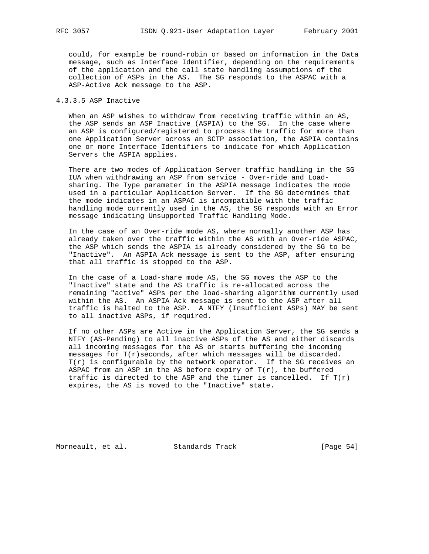could, for example be round-robin or based on information in the Data message, such as Interface Identifier, depending on the requirements of the application and the call state handling assumptions of the collection of ASPs in the AS. The SG responds to the ASPAC with a ASP-Active Ack message to the ASP.

## 4.3.3.5 ASP Inactive

 When an ASP wishes to withdraw from receiving traffic within an AS, the ASP sends an ASP Inactive (ASPIA) to the SG. In the case where an ASP is configured/registered to process the traffic for more than one Application Server across an SCTP association, the ASPIA contains one or more Interface Identifiers to indicate for which Application Servers the ASPIA applies.

 There are two modes of Application Server traffic handling in the SG IUA when withdrawing an ASP from service - Over-ride and Load sharing. The Type parameter in the ASPIA message indicates the mode used in a particular Application Server. If the SG determines that the mode indicates in an ASPAC is incompatible with the traffic handling mode currently used in the AS, the SG responds with an Error message indicating Unsupported Traffic Handling Mode.

 In the case of an Over-ride mode AS, where normally another ASP has already taken over the traffic within the AS with an Over-ride ASPAC, the ASP which sends the ASPIA is already considered by the SG to be "Inactive". An ASPIA Ack message is sent to the ASP, after ensuring that all traffic is stopped to the ASP.

 In the case of a Load-share mode AS, the SG moves the ASP to the "Inactive" state and the AS traffic is re-allocated across the remaining "active" ASPs per the load-sharing algorithm currently used within the AS. An ASPIA Ack message is sent to the ASP after all traffic is halted to the ASP. A NTFY (Insufficient ASPs) MAY be sent to all inactive ASPs, if required.

 If no other ASPs are Active in the Application Server, the SG sends a NTFY (AS-Pending) to all inactive ASPs of the AS and either discards all incoming messages for the AS or starts buffering the incoming messages for T(r)seconds, after which messages will be discarded.  $T(r)$  is configurable by the network operator. If the SG receives an ASPAC from an ASP in the AS before expiry of  $T(r)$ , the buffered traffic is directed to the ASP and the timer is cancelled. If  $T(r)$ expires, the AS is moved to the "Inactive" state.

Morneault, et al. Standards Track [Page 54]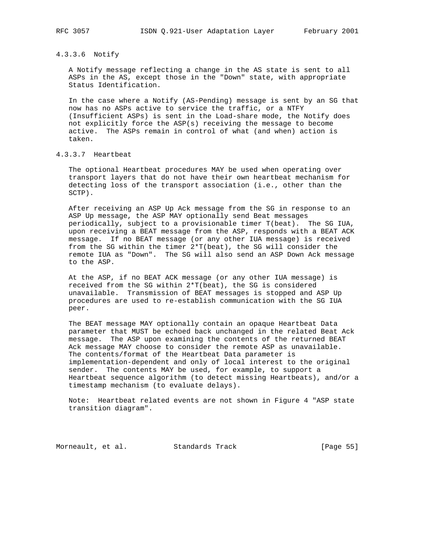## 4.3.3.6 Notify

 A Notify message reflecting a change in the AS state is sent to all ASPs in the AS, except those in the "Down" state, with appropriate Status Identification.

 In the case where a Notify (AS-Pending) message is sent by an SG that now has no ASPs active to service the traffic, or a NTFY (Insufficient ASPs) is sent in the Load-share mode, the Notify does not explicitly force the ASP(s) receiving the message to become active. The ASPs remain in control of what (and when) action is taken.

## 4.3.3.7 Heartbeat

 The optional Heartbeat procedures MAY be used when operating over transport layers that do not have their own heartbeat mechanism for detecting loss of the transport association (i.e., other than the SCTP).

 After receiving an ASP Up Ack message from the SG in response to an ASP Up message, the ASP MAY optionally send Beat messages periodically, subject to a provisionable timer T(beat). The SG IUA, upon receiving a BEAT message from the ASP, responds with a BEAT ACK message. If no BEAT message (or any other IUA message) is received from the SG within the timer 2\*T(beat), the SG will consider the remote IUA as "Down". The SG will also send an ASP Down Ack message to the ASP.

 At the ASP, if no BEAT ACK message (or any other IUA message) is received from the SG within 2\*T(beat), the SG is considered unavailable. Transmission of BEAT messages is stopped and ASP Up procedures are used to re-establish communication with the SG IUA peer.

 The BEAT message MAY optionally contain an opaque Heartbeat Data parameter that MUST be echoed back unchanged in the related Beat Ack message. The ASP upon examining the contents of the returned BEAT Ack message MAY choose to consider the remote ASP as unavailable. The contents/format of the Heartbeat Data parameter is implementation-dependent and only of local interest to the original sender. The contents MAY be used, for example, to support a Heartbeat sequence algorithm (to detect missing Heartbeats), and/or a timestamp mechanism (to evaluate delays).

 Note: Heartbeat related events are not shown in Figure 4 "ASP state transition diagram".

Morneault, et al. Standards Track [Page 55]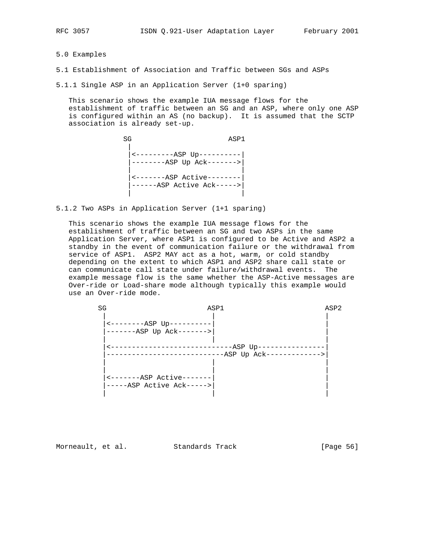5.0 Examples

- 5.1 Establishment of Association and Traffic between SGs and ASPs
- 5.1.1 Single ASP in an Application Server (1+0 sparing)

 This scenario shows the example IUA message flows for the establishment of traffic between an SG and an ASP, where only one ASP is configured within an AS (no backup). It is assumed that the SCTP association is already set-up.

SG ASP1 | |<---------ASP Up----------| |--------ASP Up Ack------->| | | |<-------ASP Active--------| |------ASP Active Ack----->| | |

5.1.2 Two ASPs in Application Server (1+1 sparing)

 This scenario shows the example IUA message flows for the establishment of traffic between an SG and two ASPs in the same Application Server, where ASP1 is configured to be Active and ASP2 a standby in the event of communication failure or the withdrawal from service of ASP1. ASP2 MAY act as a hot, warm, or cold standby depending on the extent to which ASP1 and ASP2 share call state or can communicate call state under failure/withdrawal events. The example message flow is the same whether the ASP-Active messages are Over-ride or Load-share mode although typically this example would use an Over-ride mode.

| SG |                                                        | ASP1                                  | ASP2 |
|----|--------------------------------------------------------|---------------------------------------|------|
|    | $-----ABP UP---$<br>-------ASP Up Ack------->          |                                       |      |
|    |                                                        | -----ASP Up----<br>$-ASP$ Up $Ack---$ |      |
|    | <-------ASP Active-------<br>-----ASP Active Ack-----> |                                       |      |

Morneault, et al. Standards Track [Page 56]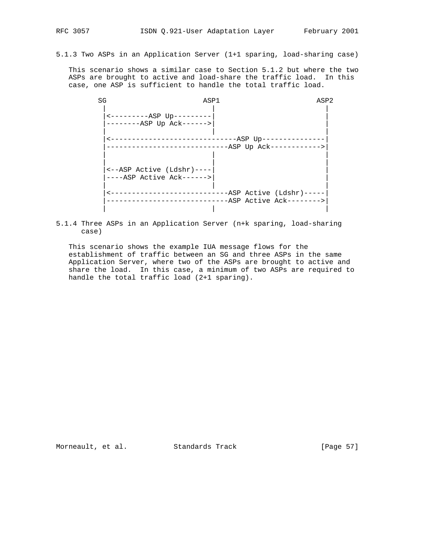5.1.3 Two ASPs in an Application Server (1+1 sparing, load-sharing case)

 This scenario shows a similar case to Section 5.1.2 but where the two ASPs are brought to active and load-share the traffic load. In this case, one ASP is sufficient to handle the total traffic load.

| ASP2                                                    | ASP1                                                    | SG |
|---------------------------------------------------------|---------------------------------------------------------|----|
|                                                         | $------ASP$ Up --------<br>--------ASP Up Ack------>    |    |
| ------ASP Up------<br>$-ASP$ Up $Ack-----$              | ---------------------                                   |    |
|                                                         | <--ASP Active (Ldshr)----<br>$---ASP$ Active Ack------> |    |
| $-ASP$ Active (Ldshr) -----<br>-ASP Active Ack--------> |                                                         |    |

5.1.4 Three ASPs in an Application Server (n+k sparing, load-sharing case)

 This scenario shows the example IUA message flows for the establishment of traffic between an SG and three ASPs in the same Application Server, where two of the ASPs are brought to active and share the load. In this case, a minimum of two ASPs are required to handle the total traffic load (2+1 sparing).

Morneault, et al. Standards Track [Page 57]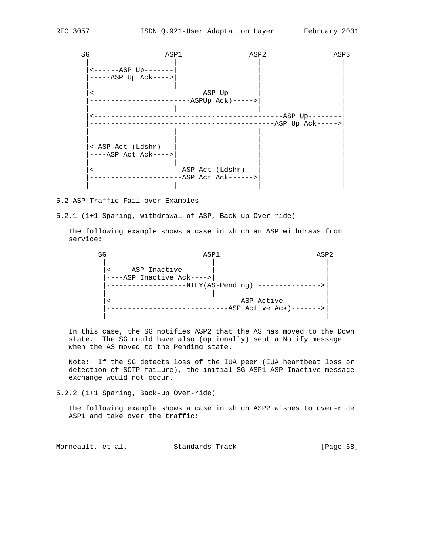| SG | ASP1                                  | ASP2                 |                                  | ASP3 |
|----|---------------------------------------|----------------------|----------------------------------|------|
|    | $----ASP$ Up-------                   |                      |                                  |      |
|    | $---ABP$ Up $Ack---$                  |                      |                                  |      |
|    |                                       |                      |                                  |      |
|    | ---------------------ASPUp Ack)-----> |                      |                                  |      |
|    |                                       |                      | ------------------ASP Up-------- |      |
|    |                                       |                      | $-$ ASP Up Ack----->             |      |
|    |                                       |                      |                                  |      |
|    | $\leftarrow$ ASP Act (Ldshr)---       |                      |                                  |      |
|    | $---ASP$ Act Ack ---->                |                      |                                  |      |
|    |                                       | --ASP Act (Ldshr)--- |                                  |      |
|    |                                       | -ASP Act Ack------>  |                                  |      |
|    |                                       |                      |                                  |      |

5.2 ASP Traffic Fail-over Examples

# 5.2.1 (1+1 Sparing, withdrawal of ASP, Back-up Over-ride)

 The following example shows a case in which an ASP withdraws from service:

| SG | ASP1                                                                                      |                                                         | ASP <sub>2</sub> |
|----|-------------------------------------------------------------------------------------------|---------------------------------------------------------|------------------|
|    | <-----ASP Inactive-------<br>----ASP Inactive Ack----><br>---------------NTFY(AS-Pending) | ------- ASP Active------<br>$-ASP$ Active Ack) -------> |                  |
|    |                                                                                           |                                                         |                  |

 In this case, the SG notifies ASP2 that the AS has moved to the Down state. The SG could have also (optionally) sent a Notify message when the AS moved to the Pending state.

 Note: If the SG detects loss of the IUA peer (IUA heartbeat loss or detection of SCTP failure), the initial SG-ASP1 ASP Inactive message exchange would not occur.

5.2.2 (1+1 Sparing, Back-up Over-ride)

 The following example shows a case in which ASP2 wishes to over-ride ASP1 and take over the traffic:

Morneault, et al. Standards Track [Page 58]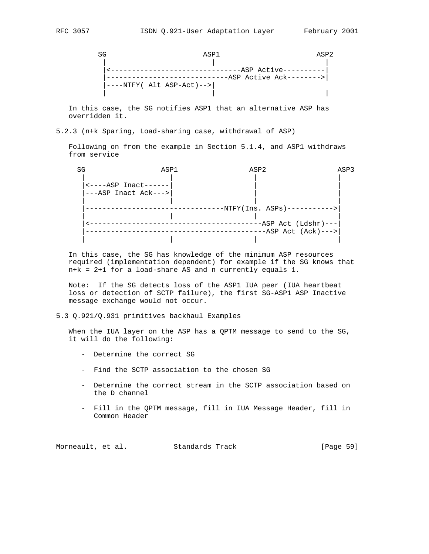SG ASP1 ASP2 | | | |<-------------------------------ASP Active----------| |-----------------------------ASP Active Ack-------->| |----NTFY( Alt ASP-Act)-->| | | |

 In this case, the SG notifies ASP1 that an alternative ASP has overridden it.

5.2.3 (n+k Sparing, Load-sharing case, withdrawal of ASP)

 Following on from the example in Section 5.1.4, and ASP1 withdraws from service

| SG | ASP1                                       | ASP2                           | ASP3 |
|----|--------------------------------------------|--------------------------------|------|
|    |                                            |                                |      |
|    | $\leftarrow$ ---- $\text{ASP}$ Inact------ |                                |      |
|    | ---ASP Inact Ack--->                       |                                |      |
|    |                                            |                                |      |
|    |                                            | $-NTFY(Ins. ASPs)$ ----------> |      |
|    |                                            |                                |      |
|    |                                            | $-ASP$ Act (Ldshr)---          |      |
|    |                                            | $-ASP$ Act $(Ack)$ --->        |      |
|    |                                            |                                |      |

 In this case, the SG has knowledge of the minimum ASP resources required (implementation dependent) for example if the SG knows that n+k = 2+1 for a load-share AS and n currently equals 1.

 Note: If the SG detects loss of the ASP1 IUA peer (IUA heartbeat loss or detection of SCTP failure), the first SG-ASP1 ASP Inactive message exchange would not occur.

5.3 Q.921/Q.931 primitives backhaul Examples

 When the IUA layer on the ASP has a QPTM message to send to the SG, it will do the following:

- Determine the correct SG
- Find the SCTP association to the chosen SG
- Determine the correct stream in the SCTP association based on the D channel
- Fill in the QPTM message, fill in IUA Message Header, fill in Common Header

Morneault, et al. Standards Track [Page 59]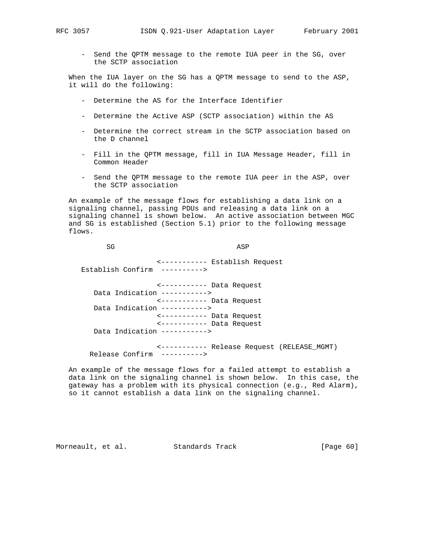- Send the QPTM message to the remote IUA peer in the SG, over the SCTP association

 When the IUA layer on the SG has a QPTM message to send to the ASP, it will do the following:

- Determine the AS for the Interface Identifier
- Determine the Active ASP (SCTP association) within the AS
- Determine the correct stream in the SCTP association based on the D channel
- Fill in the QPTM message, fill in IUA Message Header, fill in Common Header
- Send the QPTM message to the remote IUA peer in the ASP, over the SCTP association

 An example of the message flows for establishing a data link on a signaling channel, passing PDUs and releasing a data link on a signaling channel is shown below. An active association between MGC and SG is established (Section 5.1) prior to the following message flows.

SG ASP <----------- Establish Request Establish Confirm ----------> <----------- Data Request Data Indication -----------> <----------- Data Request Data Indication -----------> <----------- Data Request <----------- Data Request Data Indication -----------> <----------- Release Request (RELEASE\_MGMT) Release Confirm ---------->

 An example of the message flows for a failed attempt to establish a data link on the signaling channel is shown below. In this case, the gateway has a problem with its physical connection (e.g., Red Alarm), so it cannot establish a data link on the signaling channel.

Morneault, et al. Standards Track [Page 60]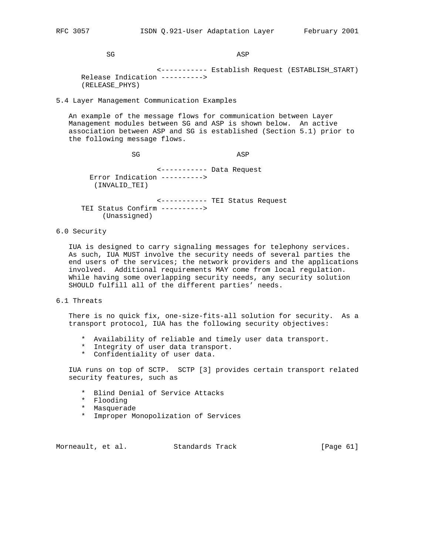SG ASP

 <----------- Establish Request (ESTABLISH\_START) Release Indication ----------> (RELEASE\_PHYS)

5.4 Layer Management Communication Examples

 An example of the message flows for communication between Layer Management modules between SG and ASP is shown below. An active association between ASP and SG is established (Section 5.1) prior to the following message flows.

SG ASP

 <----------- Data Request Error Indication ----------> (INVALID\_TEI)

 <----------- TEI Status Request TEI Status Confirm ----------> (Unassigned)

6.0 Security

 IUA is designed to carry signaling messages for telephony services. As such, IUA MUST involve the security needs of several parties the end users of the services; the network providers and the applications involved. Additional requirements MAY come from local regulation. While having some overlapping security needs, any security solution SHOULD fulfill all of the different parties' needs.

6.1 Threats

 There is no quick fix, one-size-fits-all solution for security. As a transport protocol, IUA has the following security objectives:

- \* Availability of reliable and timely user data transport.
- \* Integrity of user data transport.
- \* Confidentiality of user data.

 IUA runs on top of SCTP. SCTP [3] provides certain transport related security features, such as

- \* Blind Denial of Service Attacks
- \* Flooding
- \* Masquerade
- \* Improper Monopolization of Services

Morneault, et al. Standards Track [Page 61]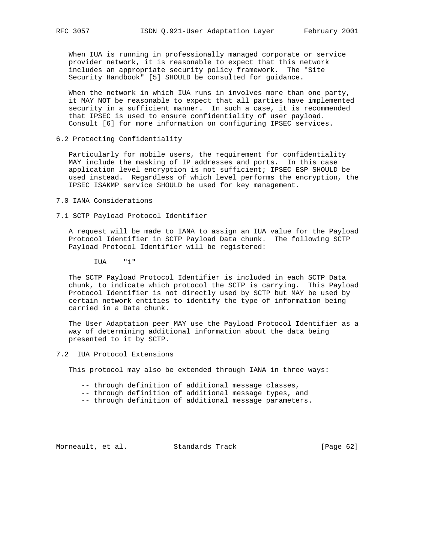When IUA is running in professionally managed corporate or service provider network, it is reasonable to expect that this network includes an appropriate security policy framework. The "Site Security Handbook" [5] SHOULD be consulted for guidance.

 When the network in which IUA runs in involves more than one party, it MAY NOT be reasonable to expect that all parties have implemented security in a sufficient manner. In such a case, it is recommended that IPSEC is used to ensure confidentiality of user payload. Consult [6] for more information on configuring IPSEC services.

6.2 Protecting Confidentiality

 Particularly for mobile users, the requirement for confidentiality MAY include the masking of IP addresses and ports. In this case application level encryption is not sufficient; IPSEC ESP SHOULD be used instead. Regardless of which level performs the encryption, the IPSEC ISAKMP service SHOULD be used for key management.

- 7.0 IANA Considerations
- 7.1 SCTP Payload Protocol Identifier

 A request will be made to IANA to assign an IUA value for the Payload Protocol Identifier in SCTP Payload Data chunk. The following SCTP Payload Protocol Identifier will be registered:

IUA "1"

 The SCTP Payload Protocol Identifier is included in each SCTP Data chunk, to indicate which protocol the SCTP is carrying. This Payload Protocol Identifier is not directly used by SCTP but MAY be used by certain network entities to identify the type of information being carried in a Data chunk.

 The User Adaptation peer MAY use the Payload Protocol Identifier as a way of determining additional information about the data being presented to it by SCTP.

7.2 IUA Protocol Extensions

This protocol may also be extended through IANA in three ways:

- -- through definition of additional message classes,
- -- through definition of additional message types, and
- -- through definition of additional message parameters.

Morneault, et al. Standards Track [Page 62]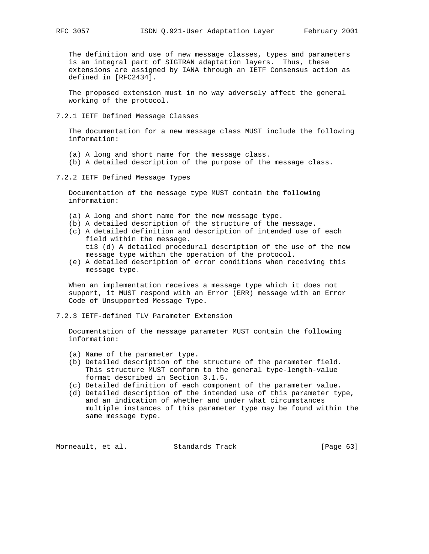The definition and use of new message classes, types and parameters is an integral part of SIGTRAN adaptation layers. Thus, these extensions are assigned by IANA through an IETF Consensus action as defined in [RFC2434].

 The proposed extension must in no way adversely affect the general working of the protocol.

7.2.1 IETF Defined Message Classes

 The documentation for a new message class MUST include the following information:

- (a) A long and short name for the message class.
- (b) A detailed description of the purpose of the message class.
- 7.2.2 IETF Defined Message Types

 Documentation of the message type MUST contain the following information:

- (a) A long and short name for the new message type.
- (b) A detailed description of the structure of the message.
- (c) A detailed definition and description of intended use of each field within the message. ti3 (d) A detailed procedural description of the use of the new message type within the operation of the protocol.
- (e) A detailed description of error conditions when receiving this message type.

 When an implementation receives a message type which it does not support, it MUST respond with an Error (ERR) message with an Error Code of Unsupported Message Type.

7.2.3 IETF-defined TLV Parameter Extension

 Documentation of the message parameter MUST contain the following information:

- (a) Name of the parameter type.
- (b) Detailed description of the structure of the parameter field. This structure MUST conform to the general type-length-value format described in Section 3.1.5.
- (c) Detailed definition of each component of the parameter value.
- (d) Detailed description of the intended use of this parameter type, and an indication of whether and under what circumstances multiple instances of this parameter type may be found within the same message type.

Morneault, et al. Standards Track [Page 63]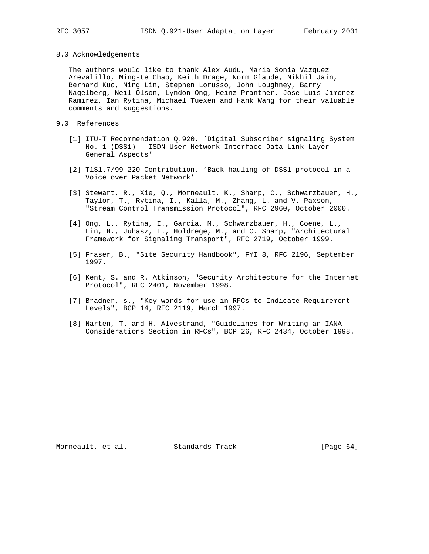#### 8.0 Acknowledgements

 The authors would like to thank Alex Audu, Maria Sonia Vazquez Arevalillo, Ming-te Chao, Keith Drage, Norm Glaude, Nikhil Jain, Bernard Kuc, Ming Lin, Stephen Lorusso, John Loughney, Barry Nagelberg, Neil Olson, Lyndon Ong, Heinz Prantner, Jose Luis Jimenez Ramirez, Ian Rytina, Michael Tuexen and Hank Wang for their valuable comments and suggestions.

## 9.0 References

- [1] ITU-T Recommendation Q.920, 'Digital Subscriber signaling System No. 1 (DSS1) - ISDN User-Network Interface Data Link Layer - General Aspects'
- [2] T1S1.7/99-220 Contribution, 'Back-hauling of DSS1 protocol in a Voice over Packet Network'
- [3] Stewart, R., Xie, Q., Morneault, K., Sharp, C., Schwarzbauer, H., Taylor, T., Rytina, I., Kalla, M., Zhang, L. and V. Paxson, "Stream Control Transmission Protocol", RFC 2960, October 2000.
- [4] Ong, L., Rytina, I., Garcia, M., Schwarzbauer, H., Coene, L., Lin, H., Juhasz, I., Holdrege, M., and C. Sharp, "Architectural Framework for Signaling Transport", RFC 2719, October 1999.
- [5] Fraser, B., "Site Security Handbook", FYI 8, RFC 2196, September 1997.
- [6] Kent, S. and R. Atkinson, "Security Architecture for the Internet Protocol", RFC 2401, November 1998.
- [7] Bradner, s., "Key words for use in RFCs to Indicate Requirement Levels", BCP 14, RFC 2119, March 1997.
- [8] Narten, T. and H. Alvestrand, "Guidelines for Writing an IANA Considerations Section in RFCs", BCP 26, RFC 2434, October 1998.

Morneault, et al. Standards Track [Page 64]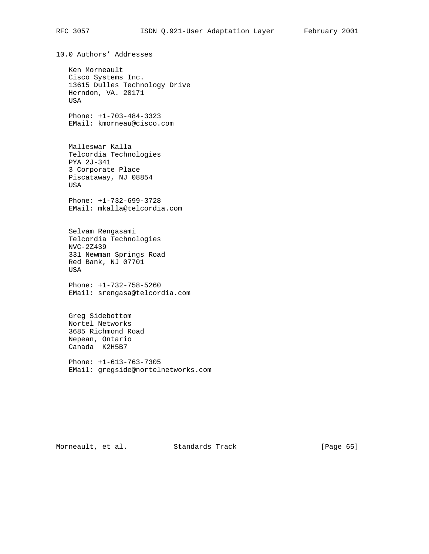10.0 Authors' Addresses Ken Morneault Cisco Systems Inc. 13615 Dulles Technology Drive Herndon, VA. 20171 USA Phone: +1-703-484-3323 EMail: kmorneau@cisco.com Malleswar Kalla Telcordia Technologies PYA 2J-341 3 Corporate Place Piscataway, NJ 08854 USA Phone: +1-732-699-3728 EMail: mkalla@telcordia.com Selvam Rengasami Telcordia Technologies NVC-2Z439 331 Newman Springs Road Red Bank, NJ 07701 USA Phone: +1-732-758-5260 EMail: srengasa@telcordia.com Greg Sidebottom Nortel Networks 3685 Richmond Road Nepean, Ontario Canada K2H5B7 Phone: +1-613-763-7305 EMail: gregside@nortelnetworks.com

Morneault, et al. Standards Track [Page 65]